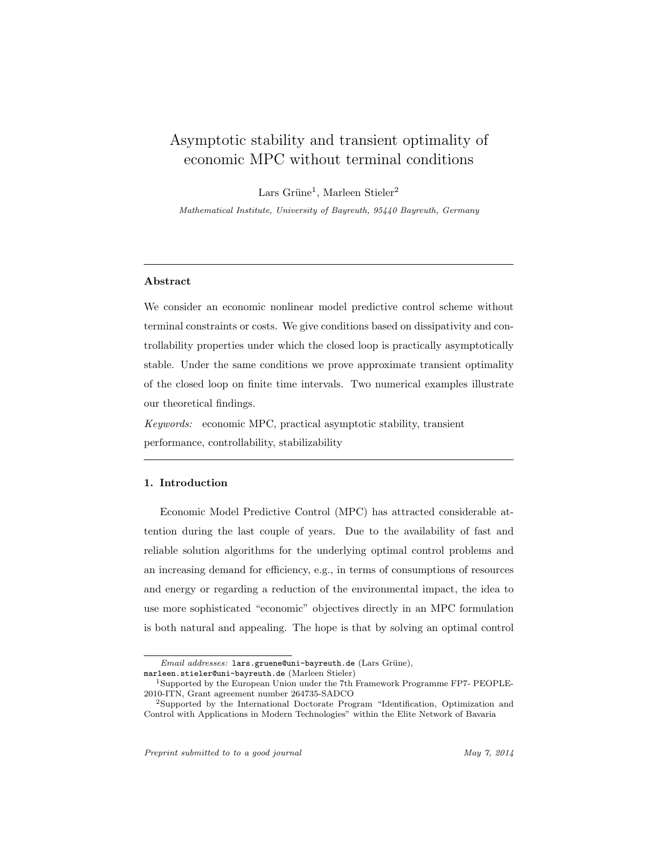# Asymptotic stability and transient optimality of economic MPC without terminal conditions

Lars Grüne<sup>1</sup>, Marleen Stieler<sup>2</sup>

Mathematical Institute, University of Bayreuth, 95440 Bayreuth, Germany

## Abstract

We consider an economic nonlinear model predictive control scheme without terminal constraints or costs. We give conditions based on dissipativity and controllability properties under which the closed loop is practically asymptotically stable. Under the same conditions we prove approximate transient optimality of the closed loop on finite time intervals. Two numerical examples illustrate our theoretical findings.

Keywords: economic MPC, practical asymptotic stability, transient performance, controllability, stabilizability

## 1. Introduction

Economic Model Predictive Control (MPC) has attracted considerable attention during the last couple of years. Due to the availability of fast and reliable solution algorithms for the underlying optimal control problems and an increasing demand for efficiency, e.g., in terms of consumptions of resources and energy or regarding a reduction of the environmental impact, the idea to use more sophisticated "economic" objectives directly in an MPC formulation is both natural and appealing. The hope is that by solving an optimal control

marleen.stieler@uni-bayreuth.de (Marleen Stieler)

Email addresses: lars.gruene@uni-bayreuth.de (Lars Grüne),

<sup>1</sup>Supported by the European Union under the 7th Framework Programme FP7- PEOPLE-2010-ITN, Grant agreement number 264735-SADCO

<sup>2</sup>Supported by the International Doctorate Program "Identification, Optimization and Control with Applications in Modern Technologies" within the Elite Network of Bavaria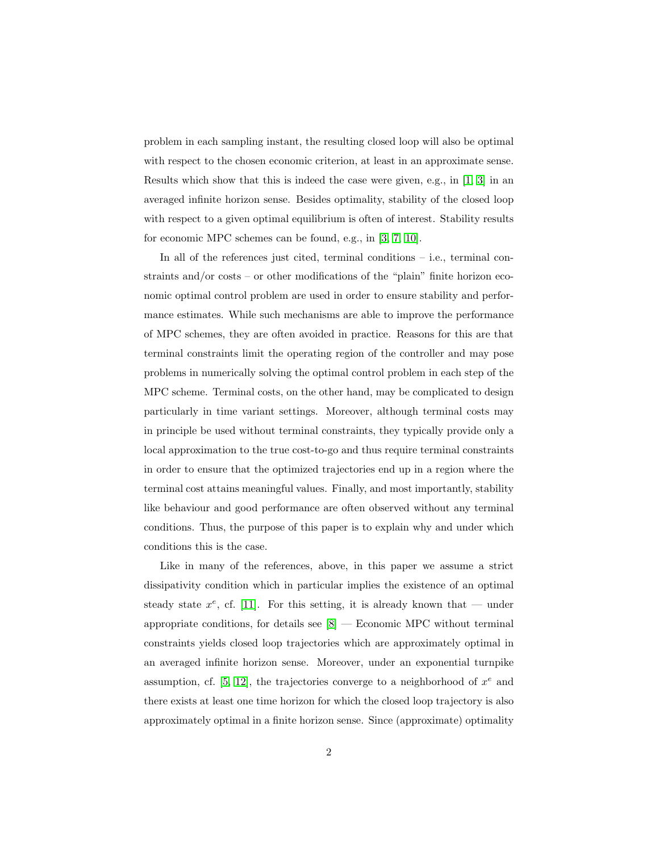problem in each sampling instant, the resulting closed loop will also be optimal with respect to the chosen economic criterion, at least in an approximate sense. Results which show that this is indeed the case were given, e.g., in  $[1, 3]$  $[1, 3]$  in an averaged infinite horizon sense. Besides optimality, stability of the closed loop with respect to a given optimal equilibrium is often of interest. Stability results for economic MPC schemes can be found, e.g., in [\[3,](#page-26-0) [7,](#page-26-1) [10\]](#page-26-2).

In all of the references just cited, terminal conditions – i.e., terminal constraints and/or costs – or other modifications of the "plain" finite horizon economic optimal control problem are used in order to ensure stability and performance estimates. While such mechanisms are able to improve the performance of MPC schemes, they are often avoided in practice. Reasons for this are that terminal constraints limit the operating region of the controller and may pose problems in numerically solving the optimal control problem in each step of the MPC scheme. Terminal costs, on the other hand, may be complicated to design particularly in time variant settings. Moreover, although terminal costs may in principle be used without terminal constraints, they typically provide only a local approximation to the true cost-to-go and thus require terminal constraints in order to ensure that the optimized trajectories end up in a region where the terminal cost attains meaningful values. Finally, and most importantly, stability like behaviour and good performance are often observed without any terminal conditions. Thus, the purpose of this paper is to explain why and under which conditions this is the case.

Like in many of the references, above, in this paper we assume a strict dissipativity condition which in particular implies the existence of an optimal steady state  $x^e$ , cf. [\[11\]](#page-26-3). For this setting, it is already known that — under appropriate conditions, for details see  $[8]$  — Economic MPC without terminal constraints yields closed loop trajectories which are approximately optimal in an averaged infinite horizon sense. Moreover, under an exponential turnpike assumption, cf. [\[5,](#page-26-5) [12\]](#page-26-6), the trajectories converge to a neighborhood of  $x^e$  and there exists at least one time horizon for which the closed loop trajectory is also approximately optimal in a finite horizon sense. Since (approximate) optimality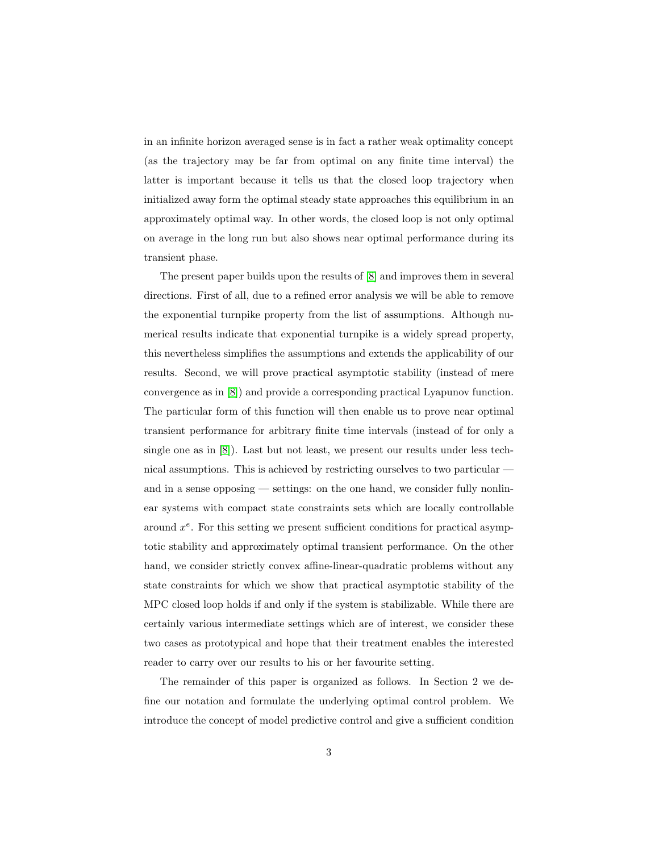in an infinite horizon averaged sense is in fact a rather weak optimality concept (as the trajectory may be far from optimal on any finite time interval) the latter is important because it tells us that the closed loop trajectory when initialized away form the optimal steady state approaches this equilibrium in an approximately optimal way. In other words, the closed loop is not only optimal on average in the long run but also shows near optimal performance during its transient phase.

The present paper builds upon the results of [\[8\]](#page-26-4) and improves them in several directions. First of all, due to a refined error analysis we will be able to remove the exponential turnpike property from the list of assumptions. Although numerical results indicate that exponential turnpike is a widely spread property, this nevertheless simplifies the assumptions and extends the applicability of our results. Second, we will prove practical asymptotic stability (instead of mere convergence as in [\[8\]](#page-26-4)) and provide a corresponding practical Lyapunov function. The particular form of this function will then enable us to prove near optimal transient performance for arbitrary finite time intervals (instead of for only a single one as in [\[8\]](#page-26-4)). Last but not least, we present our results under less technical assumptions. This is achieved by restricting ourselves to two particular and in a sense opposing — settings: on the one hand, we consider fully nonlinear systems with compact state constraints sets which are locally controllable around  $x^e$ . For this setting we present sufficient conditions for practical asymptotic stability and approximately optimal transient performance. On the other hand, we consider strictly convex affine-linear-quadratic problems without any state constraints for which we show that practical asymptotic stability of the MPC closed loop holds if and only if the system is stabilizable. While there are certainly various intermediate settings which are of interest, we consider these two cases as prototypical and hope that their treatment enables the interested reader to carry over our results to his or her favourite setting.

The remainder of this paper is organized as follows. In Section 2 we define our notation and formulate the underlying optimal control problem. We introduce the concept of model predictive control and give a sufficient condition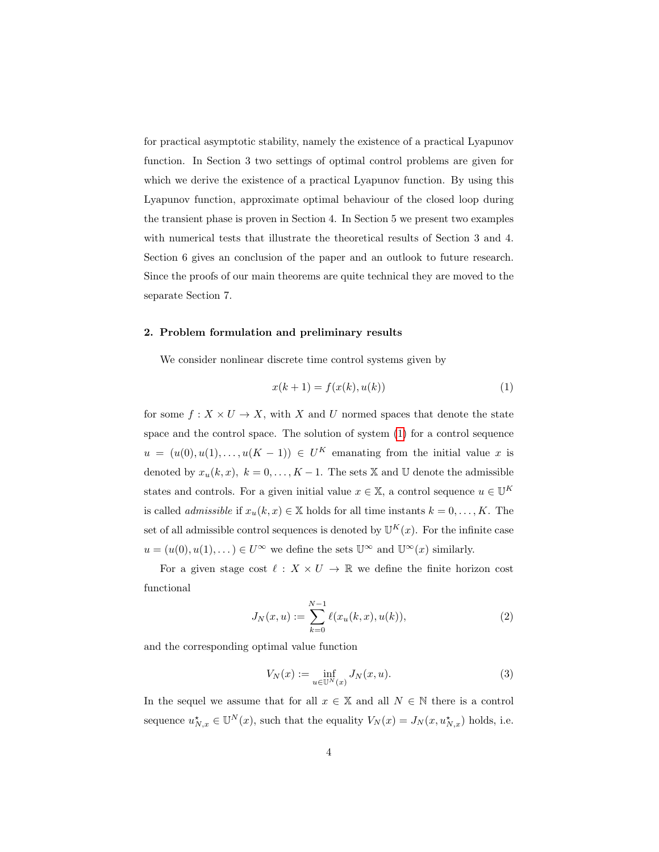for practical asymptotic stability, namely the existence of a practical Lyapunov function. In Section 3 two settings of optimal control problems are given for which we derive the existence of a practical Lyapunov function. By using this Lyapunov function, approximate optimal behaviour of the closed loop during the transient phase is proven in Section 4. In Section 5 we present two examples with numerical tests that illustrate the theoretical results of Section 3 and 4. Section 6 gives an conclusion of the paper and an outlook to future research. Since the proofs of our main theorems are quite technical they are moved to the separate Section 7.

#### 2. Problem formulation and preliminary results

We consider nonlinear discrete time control systems given by

<span id="page-3-0"></span>
$$
x(k+1) = f(x(k), u(k))
$$
 (1)

for some  $f: X \times U \to X$ , with X and U normed spaces that denote the state space and the control space. The solution of system [\(1\)](#page-3-0) for a control sequence  $u = (u(0), u(1), \ldots, u(K-1)) \in U^K$  emanating from the initial value x is denoted by  $x_u(k, x)$ ,  $k = 0, ..., K - 1$ . The sets X and U denote the admissible states and controls. For a given initial value  $x \in \mathbb{X}$ , a control sequence  $u \in \mathbb{U}^K$ is called *admissible* if  $x_u(k, x) \in \mathbb{X}$  holds for all time instants  $k = 0, \ldots, K$ . The set of all admissible control sequences is denoted by  $\mathbb{U}^K(x)$ . For the infinite case  $u = (u(0), u(1), \dots) \in U^{\infty}$  we define the sets  $\mathbb{U}^{\infty}$  and  $\mathbb{U}^{\infty}(x)$  similarly.

For a given stage cost  $\ell : X \times U \to \mathbb{R}$  we define the finite horizon cost functional

$$
J_N(x, u) := \sum_{k=0}^{N-1} \ell(x_u(k, x), u(k)),
$$
\n(2)

and the corresponding optimal value function

<span id="page-3-2"></span><span id="page-3-1"></span>
$$
V_N(x) := \inf_{u \in \mathbb{U}^N(x)} J_N(x, u).
$$
 (3)

In the sequel we assume that for all  $x \in \mathbb{X}$  and all  $N \in \mathbb{N}$  there is a control sequence  $u_{N,x}^{\star} \in \mathbb{U}^{N}(x)$ , such that the equality  $V_N(x) = J_N(x, u_{N,x}^{\star})$  holds, i.e.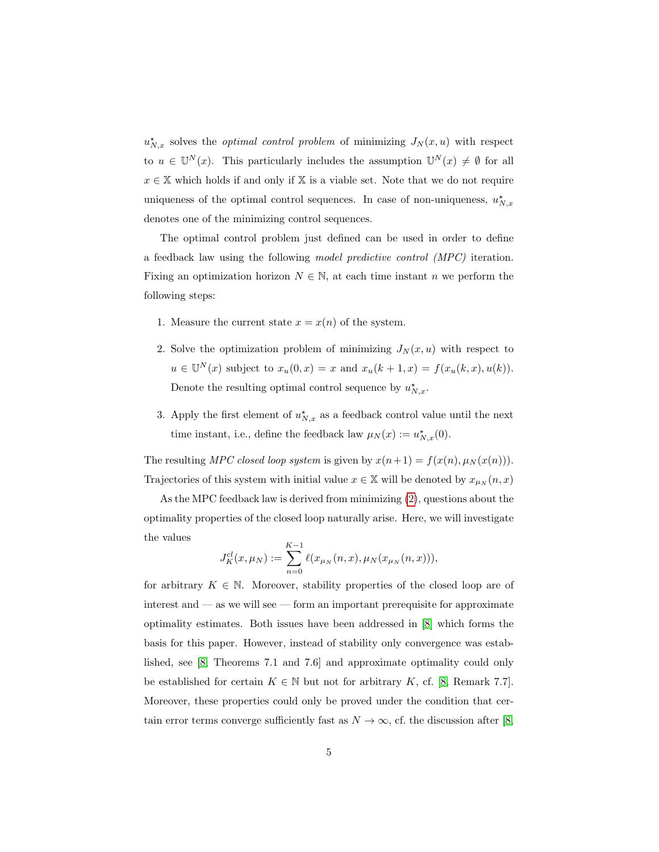$u_{N,x}^{\star}$  solves the *optimal control problem* of minimizing  $J_N(x, u)$  with respect to  $u \in \mathbb{U}^N(x)$ . This particularly includes the assumption  $\mathbb{U}^N(x) \neq \emptyset$  for all  $x \in \mathbb{X}$  which holds if and only if X is a viable set. Note that we do not require uniqueness of the optimal control sequences. In case of non-uniqueness,  $u_{N,x}^{\star}$ denotes one of the minimizing control sequences.

The optimal control problem just defined can be used in order to define a feedback law using the following model predictive control (MPC) iteration. Fixing an optimization horizon  $N \in \mathbb{N}$ , at each time instant n we perform the following steps:

- 1. Measure the current state  $x = x(n)$  of the system.
- 2. Solve the optimization problem of minimizing  $J_N(x, u)$  with respect to  $u \in \mathbb{U}^N(x)$  subject to  $x_u(0,x) = x$  and  $x_u(k+1,x) = f(x_u(k,x),u(k)).$ Denote the resulting optimal control sequence by  $u_{N,x}^*$ .
- 3. Apply the first element of  $u_{N,x}^{\star}$  as a feedback control value until the next time instant, i.e., define the feedback law  $\mu_N(x) := u_{N,x}^{\star}(0)$ .

The resulting MPC closed loop system is given by  $x(n+1) = f(x(n), \mu_N(x(n)))$ . Trajectories of this system with initial value  $x\in \mathbb{X}$  will be denoted by  $x_{\mu_N}(n,x)$ 

As the MPC feedback law is derived from minimizing [\(2\)](#page-3-1), questions about the optimality properties of the closed loop naturally arise. Here, we will investigate the values

$$
J_K^{cl}(x,\mu_N) := \sum_{n=0}^{K-1} \ell(x_{\mu_N}(n,x), \mu_N(x_{\mu_N}(n,x))),
$$

for arbitrary  $K \in \mathbb{N}$ . Moreover, stability properties of the closed loop are of interest and — as we will see — form an important prerequisite for approximate optimality estimates. Both issues have been addressed in [\[8\]](#page-26-4) which forms the basis for this paper. However, instead of stability only convergence was established, see [\[8,](#page-26-4) Theorems 7.1 and 7.6] and approximate optimality could only be established for certain  $K \in \mathbb{N}$  but not for arbitrary K, cf. [\[8,](#page-26-4) Remark 7.7]. Moreover, these properties could only be proved under the condition that certain error terms converge sufficiently fast as  $N \to \infty$ , cf. the discussion after [\[8,](#page-26-4)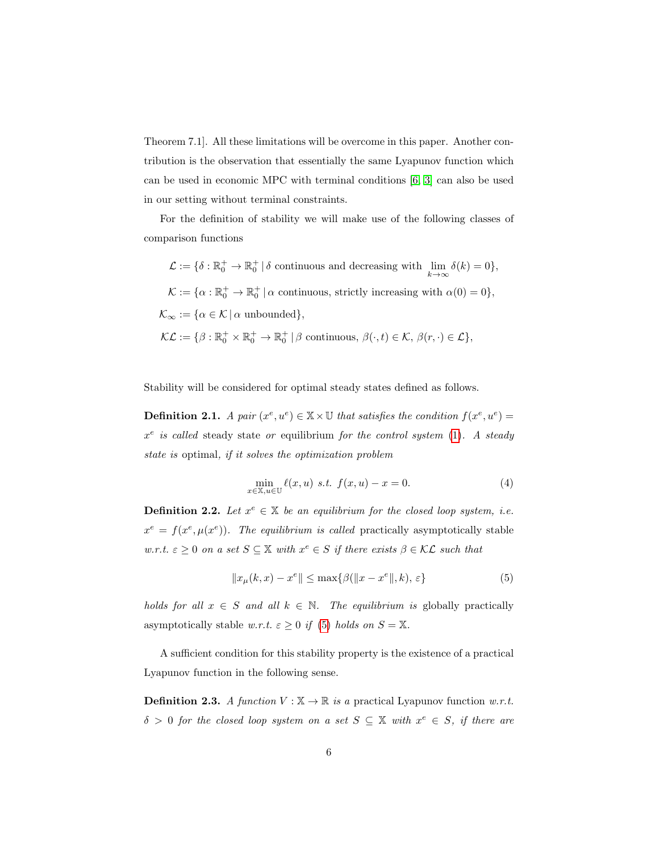Theorem 7.1]. All these limitations will be overcome in this paper. Another contribution is the observation that essentially the same Lyapunov function which can be used in economic MPC with terminal conditions [\[6,](#page-26-7) [3\]](#page-26-0) can also be used in our setting without terminal constraints.

For the definition of stability we will make use of the following classes of comparison functions

 $\mathcal{L} := \{ \delta : \mathbb{R}_0^+ \to \mathbb{R}_0^+ \mid \delta \text{ continuous and decreasing with } \lim_{k \to \infty} \delta(k) = 0 \},\$  $\mathcal{K} := {\alpha : \mathbb{R}_0^+ \to \mathbb{R}_0^+ | \alpha \text{ continuous, strictly increasing with } \alpha(0) = 0},$  $\mathcal{K}_{\infty} := {\alpha \in \mathcal{K} \mid \alpha \text{ unbounded}}$  $\mathcal{KL} := \{ \beta : \mathbb{R}_0^+ \times \mathbb{R}_0^+ \to \mathbb{R}_0^+ \mid \beta \text{ continuous}, \beta(\cdot, t) \in \mathcal{K}, \beta(r, \cdot) \in \mathcal{L} \},\$ 

<span id="page-5-1"></span>Stability will be considered for optimal steady states defined as follows.

**Definition 2.1.** A pair  $(x^e, u^e) \in \mathbb{X} \times \mathbb{U}$  that satisfies the condition  $f(x^e, u^e) =$  $x^e$  is called steady state or equilibrium for the control system [\(1\)](#page-3-0). A steady state is optimal, if it solves the optimization problem

<span id="page-5-0"></span>
$$
\min_{x \in \mathbb{X}, u \in \mathbb{U}} \ell(x, u) \quad s.t. \quad f(x, u) - x = 0. \tag{4}
$$

**Definition 2.2.** Let  $x^e \in \mathbb{X}$  be an equilibrium for the closed loop system, i.e.  $x^e = f(x^e, \mu(x^e))$ . The equilibrium is called practically asymptotically stable w.r.t.  $\varepsilon \geq 0$  on a set  $S \subseteq \mathbb{X}$  with  $x^e \in S$  if there exists  $\beta \in \mathcal{KL}$  such that

$$
||x_{\mu}(k,x) - x^e|| \le \max\{\beta(||x - x^e||, k), \varepsilon\}
$$
 (5)

holds for all  $x \in S$  and all  $k \in \mathbb{N}$ . The equilibrium is globally practically asymptotically stable w.r.t.  $\varepsilon \geq 0$  if [\(5\)](#page-5-0) holds on  $S = \mathbb{X}$ .

A sufficient condition for this stability property is the existence of a practical Lyapunov function in the following sense.

**Definition 2.3.** A function  $V : \mathbb{X} \to \mathbb{R}$  is a practical Lyapunov function w.r.t.  $\delta > 0$  for the closed loop system on a set  $S \subseteq \mathbb{X}$  with  $x^e \in S$ , if there are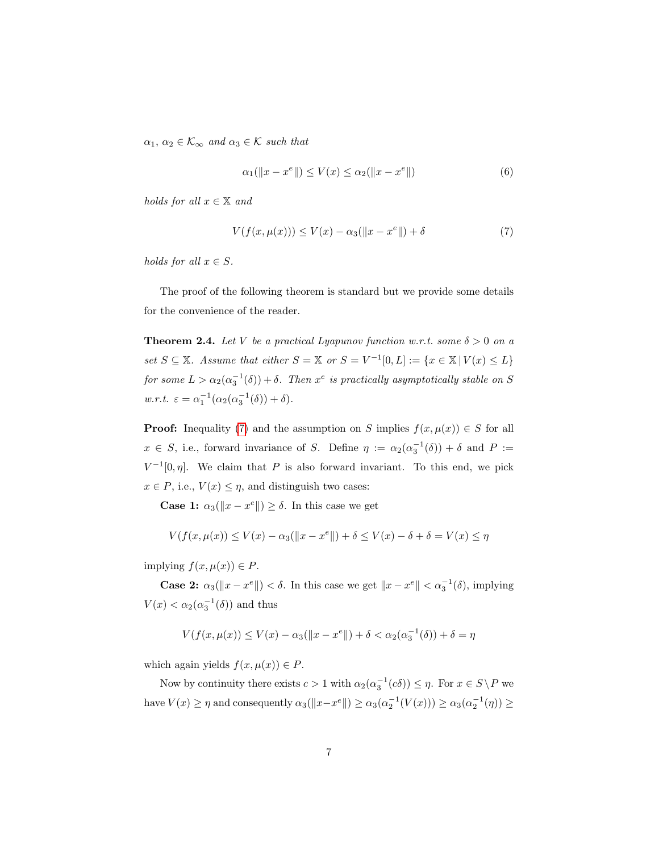$\alpha_1, \, \alpha_2 \in \mathcal{K}_{\infty}$  and  $\alpha_3 \in \mathcal{K}$  such that

<span id="page-6-0"></span>
$$
\alpha_1(\|x - x^e\|) \le V(x) \le \alpha_2(\|x - x^e\|)
$$
 (6)

holds for all  $x \in \mathbb{X}$  and

$$
V(f(x, \mu(x))) \le V(x) - \alpha_3(||x - x^e||) + \delta
$$
 (7)

holds for all  $x \in S$ .

The proof of the following theorem is standard but we provide some details for the convenience of the reader.

**Theorem 2.4.** Let V be a practical Lyapunov function w.r.t. some  $\delta > 0$  on a set  $S \subseteq \mathbb{X}$ . Assume that either  $S = \mathbb{X}$  or  $S = V^{-1}[0, L] := \{x \in \mathbb{X} \mid V(x) \leq L\}$ for some  $L > \alpha_2(\alpha_3^{-1}(\delta)) + \delta$ . Then  $x^e$  is practically asymptotically stable on S w.r.t.  $\varepsilon = \alpha_1^{-1}(\alpha_2(\alpha_3^{-1}(\delta)) + \delta).$ 

**Proof:** Inequality [\(7\)](#page-6-0) and the assumption on S implies  $f(x, \mu(x)) \in S$  for all  $x \in S$ , i.e., forward invariance of S. Define  $\eta := \alpha_2(\alpha_3^{-1}(\delta)) + \delta$  and  $P :=$  $V^{-1}[0,\eta]$ . We claim that P is also forward invariant. To this end, we pick  $x \in P$ , i.e.,  $V(x) \leq \eta$ , and distinguish two cases:

**Case 1:**  $\alpha_3(\Vert x - x^e \Vert) \ge \delta$ . In this case we get

$$
V(f(x, \mu(x)) \le V(x) - \alpha_3(||x - x^e||) + \delta \le V(x) - \delta + \delta = V(x) \le \eta
$$

implying  $f(x, \mu(x)) \in P$ .

**Case 2:**  $\alpha_3(\Vert x - x^e \Vert) < \delta$ . In this case we get  $\Vert x - x^e \Vert < \alpha_3^{-1}(\delta)$ , implying  $V(x) < \alpha_2(\alpha_3^{-1}(\delta))$  and thus

$$
V(f(x,\mu(x))\leq V(x)-\alpha_3(\|x-x^e\|)+\delta<\alpha_2(\alpha_3^{-1}(\delta))+\delta=\eta
$$

which again yields  $f(x, \mu(x)) \in P$ .

Now by continuity there exists  $c > 1$  with  $\alpha_2(\alpha_3^{-1}(c\delta)) \leq \eta$ . For  $x \in S \backslash P$  we have  $V(x) \ge \eta$  and consequently  $\alpha_3(||x-x^e||) \ge \alpha_3(\alpha_2^{-1}(V(x))) \ge \alpha_3(\alpha_2^{-1}(\eta)) \ge$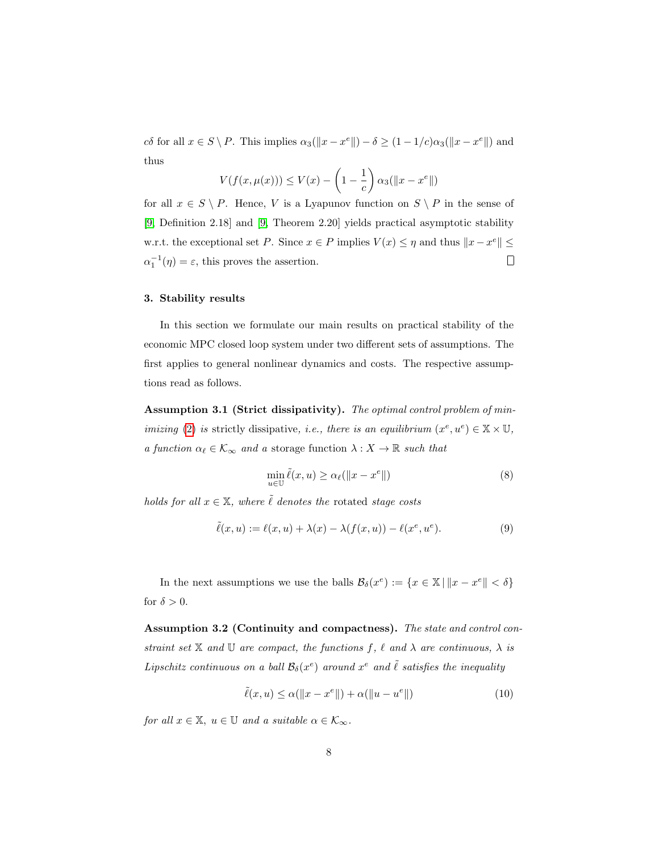cδ for all  $x \in S \setminus P$ . This implies  $\alpha_3(\Vert x - x^e \Vert) - \delta \ge (1 - 1/c)\alpha_3(\Vert x - x^e \Vert)$  and thus

$$
V(f(x, \mu(x))) \le V(x) - \left(1 - \frac{1}{c}\right) \alpha_3(||x - x^e||)
$$

for all  $x \in S \setminus P$ . Hence, V is a Lyapunov function on  $S \setminus P$  in the sense of [\[9,](#page-26-8) Definition 2.18] and [\[9,](#page-26-8) Theorem 2.20] yields practical asymptotic stability w.r.t. the exceptional set P. Since  $x \in P$  implies  $V(x) \leq \eta$  and thus  $||x - x^e|| \leq$  $\alpha_1^{-1}(\eta) = \varepsilon$ , this proves the assertion.  $\Box$ 

#### 3. Stability results

In this section we formulate our main results on practical stability of the economic MPC closed loop system under two different sets of assumptions. The first applies to general nonlinear dynamics and costs. The respective assumptions read as follows.

Assumption 3.1 (Strict dissipativity). The optimal control problem of min*imizing* [\(2\)](#page-3-1) *is* strictly dissipative, *i.e.*, *there is an equilibrium*  $(x^e, u^e) \in \mathbb{X} \times \mathbb{U}$ , a function  $\alpha_\ell \in \mathcal{K}_{\infty}$  and a storage function  $\lambda : X \to \mathbb{R}$  such that

<span id="page-7-2"></span><span id="page-7-0"></span>
$$
\min_{u \in \mathbb{U}} \tilde{\ell}(x, u) \ge \alpha_{\ell}(\|x - x^e\|)
$$
\n(8)

holds for all  $x \in \mathbb{X}$ , where  $\tilde{\ell}$  denotes the rotated stage costs

$$
\tilde{\ell}(x, u) := \ell(x, u) + \lambda(x) - \lambda(f(x, u)) - \ell(x^e, u^e). \tag{9}
$$

In the next assumptions we use the balls  $\mathcal{B}_{\delta}(x^e) := \{x \in \mathbb{X} \mid ||x - x^e|| < \delta\}$ for  $\delta > 0$ .

Assumption 3.2 (Continuity and compactness). The state and control constraint set  $X$  and  $U$  are compact, the functions f,  $\ell$  and  $\lambda$  are continuous,  $\lambda$  is Lipschitz continuous on a ball  $\mathcal{B}_{\delta}(x^e)$  around  $x^e$  and  $\tilde{\ell}$  satisfies the inequality

<span id="page-7-1"></span>
$$
\tilde{\ell}(x, u) \le \alpha(\|x - x^e\|) + \alpha(\|u - u^e\|)
$$
\n(10)

for all  $x \in \mathbb{X}$ ,  $u \in \mathbb{U}$  and a suitable  $\alpha \in \mathcal{K}_{\infty}$ .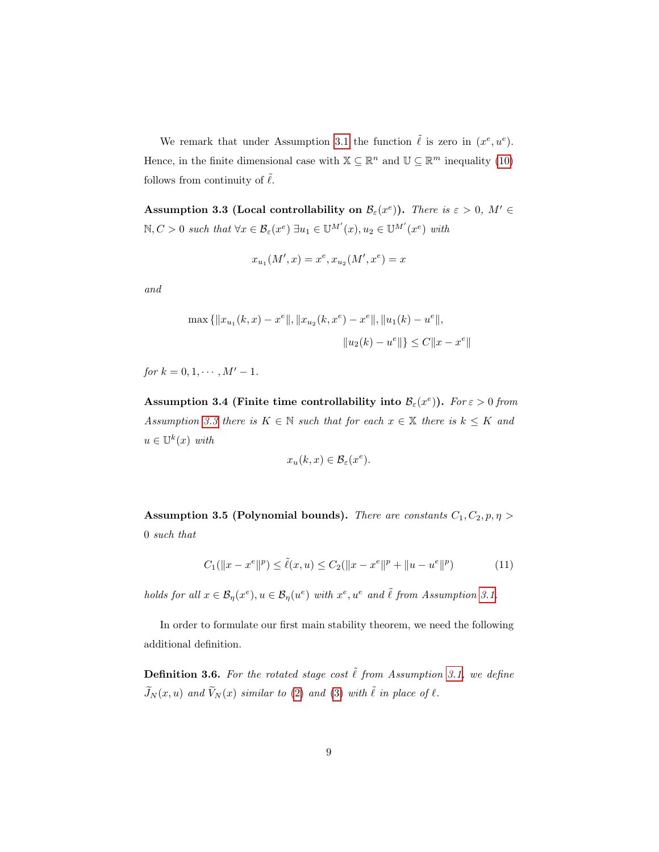We remark that under Assumption [3.1](#page-7-0) the function  $\tilde{\ell}$  is zero in  $(x^e, u^e)$ . Hence, in the finite dimensional case with  $\mathbb{X} \subseteq \mathbb{R}^n$  and  $\mathbb{U} \subseteq \mathbb{R}^m$  inequality [\(10\)](#page-7-1) follows from continuity of  $\ell$ .

<span id="page-8-0"></span>Assumption 3.3 (Local controllability on  $\mathcal{B}_{\varepsilon}(x^{\varepsilon})$ ). There is  $\varepsilon > 0$ ,  $M' \in$  $\mathbb{N}, C > 0$  such that  $\forall x \in \mathcal{B}_{\varepsilon}(x^e) \exists u_1 \in \mathbb{U}^{\mathcal{M}'}(x), u_2 \in \mathbb{U}^{\mathcal{M}'}(x^e)$  with

$$
x_{u_1}(M',x) = x^e, x_{u_2}(M',x^e) = x
$$

and

$$
\max\left\{||x_{u_1}(k,x) - x^e||, ||x_{u_2}(k,x^e) - x^e||, ||u_1(k) - u^e||, \right\}
$$

$$
||u_2(k) - u^e|| \leq C||x - x^e||
$$

for  $k = 0, 1, \cdots, M' - 1$ .

<span id="page-8-1"></span>Assumption 3.4 (Finite time controllability into  $\mathcal{B}_{\varepsilon}(x^e)$ ). For  $\varepsilon > 0$  from Assumption [3.3](#page-8-0) there is  $K \in \mathbb{N}$  such that for each  $x \in \mathbb{X}$  there is  $k \leq K$  and  $u \in \mathbb{U}^k(x)$  with

$$
x_u(k, x) \in \mathcal{B}_{\varepsilon}(x^e).
$$

<span id="page-8-2"></span>Assumption 3.5 (Polynomial bounds). There are constants  $C_1, C_2, p, \eta >$ 0 such that

$$
C_1(||x - x^e||^p) \le \tilde{\ell}(x, u) \le C_2(||x - x^e||^p + ||u - u^e||^p)
$$
\n(11)

holds for all  $x \in \mathcal{B}_\eta(x^e), u \in \mathcal{B}_\eta(u^e)$  with  $x^e, u^e$  and  $\tilde{\ell}$  from Assumption [3.1.](#page-7-0)

In order to formulate our first main stability theorem, we need the following additional definition.

**Definition 3.6.** For the rotated stage cost  $\tilde{\ell}$  from Assumption [3.1,](#page-7-0) we define  $\widetilde{J}_N (x, u)$  and  $\widetilde{V}_N (x)$  similar to [\(2\)](#page-3-1) and [\(3\)](#page-3-2) with  $\widetilde{\ell}$  in place of  $\ell$ .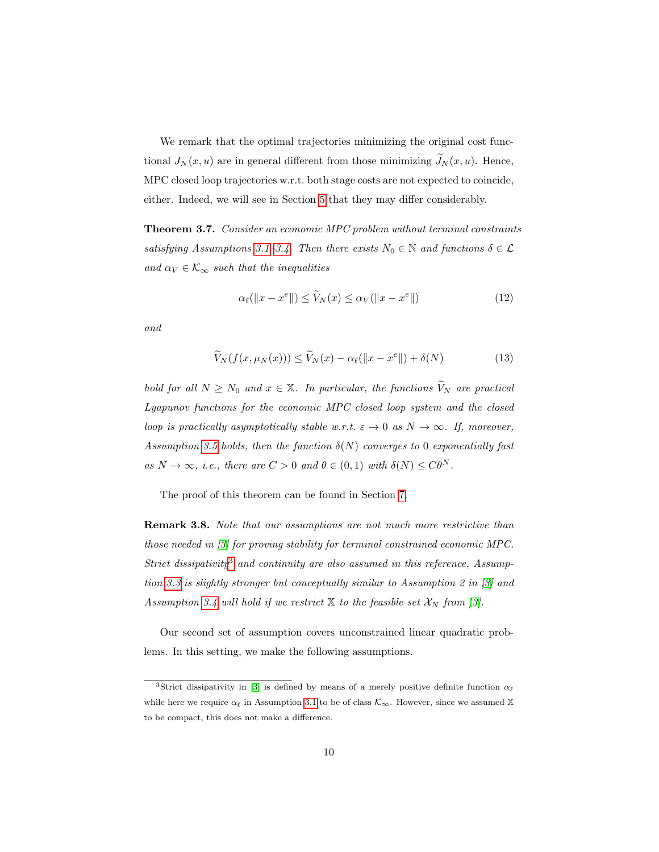We remark that the optimal trajectories minimizing the original cost functional  $J_N(x, u)$  are in general different from those minimizing  $\widetilde{J}_N(x, u)$ . Hence, MPC closed loop trajectories w.r.t. both stage costs are not expected to coincide, either. Indeed, we will see in Section [5](#page-13-0) that they may differ considerably.

<span id="page-9-4"></span>**Theorem 3.7.** Consider an economic MPC problem without terminal constraints satisfying Assumptions [3.1](#page-7-0)[–3.4.](#page-8-1) Then there exists  $N_0 \in \mathbb{N}$  and functions  $\delta \in \mathcal{L}$ and  $\alpha_V \in \mathcal{K}_{\infty}$  such that the inequalities

<span id="page-9-3"></span><span id="page-9-2"></span>
$$
\alpha_{\ell}(\|x - x^e\|) \le \widetilde{V}_N(x) \le \alpha_V(\|x - x^e\|) \tag{12}
$$

and

$$
\widetilde{V}_N(f(x,\mu_N(x))) \le \widetilde{V}_N(x) - \alpha_\ell(\|x - x^e\|) + \delta(N) \tag{13}
$$

hold for all  $N \geq N_0$  and  $x \in \mathbb{X}$ . In particular, the functions  $\widetilde{V}_N$  are practical Lyapunov functions for the economic MPC closed loop system and the closed loop is practically asymptotically stable w.r.t.  $\varepsilon \to 0$  as  $N \to \infty$ . If, moreover, Assumption [3.5](#page-8-2) holds, then the function  $\delta(N)$  converges to 0 exponentially fast as  $N \to \infty$ , i.e., there are  $C > 0$  and  $\theta \in (0,1)$  with  $\delta(N) \leq C \theta^N$ .

The proof of this theorem can be found in Section [7.](#page-18-0)

Remark 3.8. Note that our assumptions are not much more restrictive than those needed in [\[3\]](#page-26-0) for proving stability for terminal constrained economic MPC. Strict dissipativity<sup>[3](#page-9-0)</sup> and continuity are also assumed in this reference, Assumption [3.3](#page-8-0) is slightly stronger but conceptually similar to Assumption 2 in [\[3\]](#page-26-0) and Assumption [3.4](#page-8-1) will hold if we restrict  $X$  to the feasible set  $\mathcal{X}_N$  from [\[3\]](#page-26-0).

Our second set of assumption covers unconstrained linear quadratic problems. In this setting, we make the following assumptions.

<span id="page-9-1"></span><span id="page-9-0"></span><sup>&</sup>lt;sup>3</sup>Strict dissipativity in [\[3\]](#page-26-0) is defined by means of a merely positive definite function  $\alpha_{\ell}$ while here we require  $\alpha_{\ell}$  in Assumption [3.1](#page-7-0) to be of class  $\mathcal{K}_{\infty}$ . However, since we assumed X to be compact, this does not make a difference.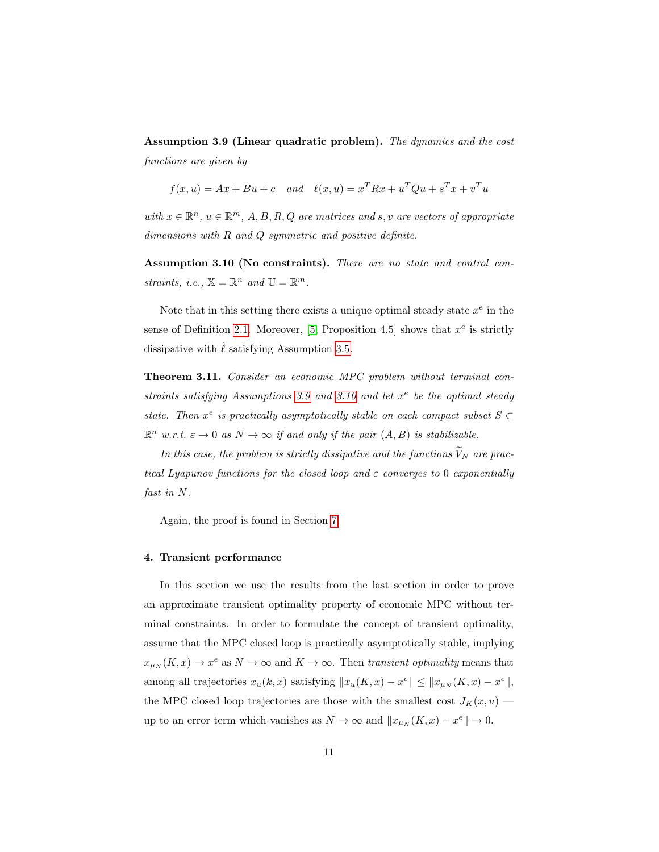Assumption 3.9 (Linear quadratic problem). The dynamics and the cost functions are given by

$$
f(x, u) = Ax + Bu + c
$$
 and  $\ell(x, u) = x^T R x + u^T Q u + s^T x + v^T u$ 

with  $x \in \mathbb{R}^n$ ,  $u \in \mathbb{R}^m$ ,  $A, B, R, Q$  are matrices and s, v are vectors of appropriate dimensions with  $R$  and  $Q$  symmetric and positive definite.

<span id="page-10-0"></span>Assumption 3.10 (No constraints). There are no state and control constraints, i.e.,  $\mathbb{X} = \mathbb{R}^n$  and  $\mathbb{U} = \mathbb{R}^m$ .

Note that in this setting there exists a unique optimal steady state  $x^e$  in the sense of Definition [2.1.](#page-5-1) Moreover, [\[5,](#page-26-5) Proposition 4.5] shows that  $x^e$  is strictly dissipative with  $\tilde{\ell}$  satisfying Assumption [3.5.](#page-8-2)

<span id="page-10-1"></span>Theorem 3.11. Consider an economic MPC problem without terminal con-straints satisfying Assumptions [3.9](#page-9-1) and [3.10](#page-10-0) and let  $x^e$  be the optimal steady state. Then  $x^e$  is practically asymptotically stable on each compact subset  $S \subset$  $\mathbb{R}^n$  w.r.t.  $\varepsilon \to 0$  as  $N \to \infty$  if and only if the pair  $(A, B)$  is stabilizable.

In this case, the problem is strictly dissipative and the functions  $\widetilde{V}_N$  are practical Lyapunov functions for the closed loop and  $\varepsilon$  converges to 0 exponentially fast in N.

Again, the proof is found in Section [7.](#page-18-0)

#### 4. Transient performance

In this section we use the results from the last section in order to prove an approximate transient optimality property of economic MPC without terminal constraints. In order to formulate the concept of transient optimality, assume that the MPC closed loop is practically asymptotically stable, implying  $x_{\mu_N}(K, x) \to x^e$  as  $N \to \infty$  and  $K \to \infty$ . Then transient optimality means that among all trajectories  $x_u(k, x)$  satisfying  $||x_u(K, x) - x^e|| \le ||x_{\mu_N}(K, x) - x^e||$ , the MPC closed loop trajectories are those with the smallest cost  $J_K(x, u)$  up to an error term which vanishes as  $N \to \infty$  and  $||x_{\mu_N}(K, x) - x^e|| \to 0$ .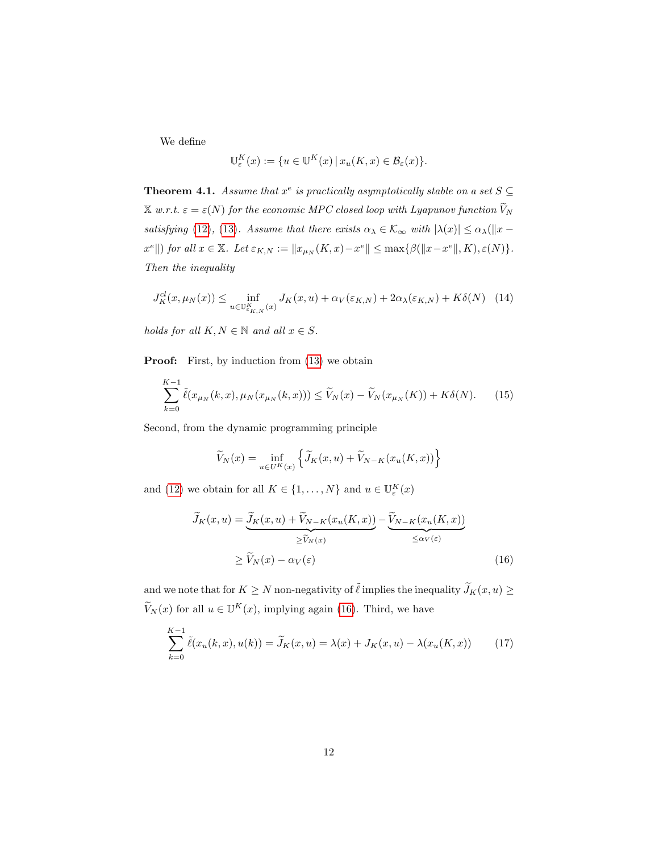We define

$$
\mathbb{U}_{\varepsilon}^{K}(x) := \{ u \in \mathbb{U}^{K}(x) \, | \, x_u(K, x) \in \mathcal{B}_{\varepsilon}(x) \}.
$$

**Theorem 4.1.** Assume that  $x^e$  is practically asymptotically stable on a set  $S \subseteq$  $\mathbb X$  w.r.t.  $\varepsilon = \varepsilon(N)$  for the economic MPC closed loop with Lyapunov function  $\widetilde V_N$ satisfying [\(12\)](#page-9-2), [\(13\)](#page-9-3). Assume that there exists  $\alpha_{\lambda} \in \mathcal{K}_{\infty}$  with  $|\lambda(x)| \leq \alpha_{\lambda} (\|x - \lambda\|)$  $x^e$ ||) for all  $x \in \mathbb{X}$ . Let  $\varepsilon_{K,N} := \|x_{\mu_N}(K,x) - x^e\| \leq \max\{\beta(\|x-x^e\|,K), \varepsilon(N)\}.$ Then the inequality

<span id="page-11-3"></span>
$$
J_K^{cl}(x,\mu_N(x)) \le \inf_{u \in \mathbb{U}_{\varepsilon_{K,N}}^K(x)} J_K(x,u) + \alpha_V(\varepsilon_{K,N}) + 2\alpha_\lambda(\varepsilon_{K,N}) + K\delta(N) \quad (14)
$$

holds for all  $K, N \in \mathbb{N}$  and all  $x \in S$ .

**Proof:** First, by induction from  $(13)$  we obtain

$$
\sum_{k=0}^{K-1} \tilde{\ell}(x_{\mu_N}(k, x), \mu_N(x_{\mu_N}(k, x))) \le \tilde{V}_N(x) - \tilde{V}_N(x_{\mu_N}(K)) + K\delta(N). \tag{15}
$$

Second, from the dynamic programming principle

<span id="page-11-2"></span><span id="page-11-0"></span>
$$
\widetilde{V}_N(x) = \inf_{u \in U^K(x)} \left\{ \widetilde{J}_K(x, u) + \widetilde{V}_{N-K}(x_u(K, x)) \right\}
$$

and [\(12\)](#page-9-2) we obtain for all  $K \in \{1, ..., N\}$  and  $u \in \mathbb{U}_{\varepsilon}^{K}(x)$ 

<span id="page-11-1"></span>
$$
\widetilde{J}_K(x, u) = \underbrace{\widetilde{J}_K(x, u) + \widetilde{V}_{N-K}(x_u(K, x))}_{\geq \widetilde{V}_N(x)} - \underbrace{\widetilde{V}_{N-K}(x_u(K, x))}_{\leq \alpha_V(\varepsilon)}
$$
\n
$$
\geq \widetilde{V}_N(x) - \alpha_V(\varepsilon) \tag{16}
$$

and we note that for  $K\geq N$  non-negativity of  $\tilde{\ell}$  implies the inequality  $\widetilde{J}_K(x,u)\geq$  $\widetilde{V}_N(x)$  for all  $u \in \mathbb{U}^K(x)$ , implying again [\(16\)](#page-11-0). Third, we have

$$
\sum_{k=0}^{K-1} \tilde{\ell}(x_u(k, x), u(k)) = \tilde{J}_K(x, u) = \lambda(x) + J_K(x, u) - \lambda(x_u(K, x))
$$
 (17)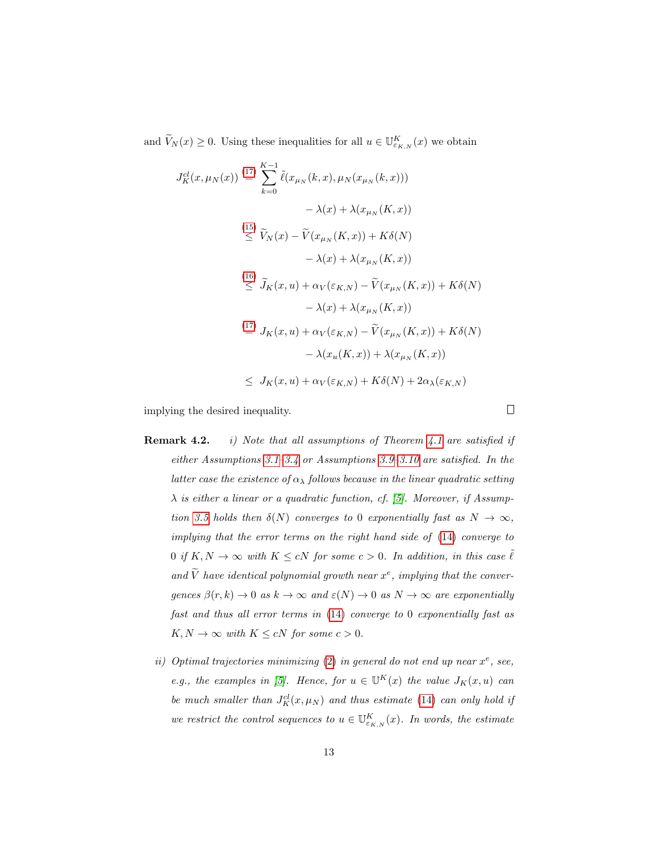and  $\widetilde{V}_N(x) \geq 0$ . Using these inequalities for all  $u \in \mathbb{U}^K_{\varepsilon_{K,N}}(x)$  we obtain

$$
J_K^{cl}(x, \mu_N(x)) \stackrel{(17)}{=} \sum_{k=0}^{K-1} \tilde{\ell}(x_{\mu_N}(k, x), \mu_N(x_{\mu_N}(k, x)))
$$
  
\n
$$
- \lambda(x) + \lambda(x_{\mu_N}(K, x))
$$
  
\n
$$
\stackrel{(15)}{\leq} \tilde{V}_N(x) - \tilde{V}(x_{\mu_N}(K, x)) + K\delta(N)
$$
  
\n
$$
- \lambda(x) + \lambda(x_{\mu_N}(K, x))
$$
  
\n
$$
\stackrel{(16)}{\leq} \tilde{J}_K(x, u) + \alpha_V(\varepsilon_{K,N}) - \tilde{V}(x_{\mu_N}(K, x)) + K\delta(N)
$$
  
\n
$$
- \lambda(x) + \lambda(x_{\mu_N}(K, x))
$$
  
\n
$$
\stackrel{(17)}{=} J_K(x, u) + \alpha_V(\varepsilon_{K,N}) - \tilde{V}(x_{\mu_N}(K, x)) + K\delta(N)
$$
  
\n
$$
- \lambda(x_u(K, x)) + \lambda(x_{\mu_N}(K, x))
$$
  
\n
$$
\leq J_K(x, u) + \alpha_V(\varepsilon_{K,N}) + K\delta(N) + 2\alpha_\lambda(\varepsilon_{K,N})
$$

implying the desired inequality.

- **Remark 4.2.** i) Note that all assumptions of Theorem [4.1](#page-11-3) are satisfied if either Assumptions [3.1](#page-7-0)[–3.4](#page-8-1) or Assumptions [3.9–](#page-9-1)[3.10](#page-10-0) are satisfied. In the latter case the existence of  $\alpha_{\lambda}$  follows because in the linear quadratic setting  $\lambda$  is either a linear or a quadratic function, cf. [\[5\]](#page-26-5). Moreover, if Assump-tion [3.5](#page-8-2) holds then  $\delta(N)$  converges to 0 exponentially fast as  $N \to \infty$ , implying that the error terms on the right hand side of [\(14\)](#page-11-3) converge to 0 if  $K, N \to \infty$  with  $K \leq cN$  for some  $c > 0$ . In addition, in this case  $\tilde{\ell}$ and  $\tilde{V}$  have identical polynomial growth near  $x^e$ , implying that the convergences  $\beta(r, k) \to 0$  as  $k \to \infty$  and  $\varepsilon(N) \to 0$  as  $N \to \infty$  are exponentially fast and thus all error terms in [\(14\)](#page-11-3) converge to 0 exponentially fast as  $K, N \to \infty$  with  $K \leq cN$  for some  $c > 0$ .
	- ii) Optimal trajectories minimizing [\(2\)](#page-3-1) in general do not end up near  $x^e$ , see, e.g., the examples in [\[5\]](#page-26-5). Hence, for  $u \in \mathbb{U}^K(x)$  the value  $J_K(x, u)$  can be much smaller than  $J_K^{cl}(x,\mu_N)$  and thus estimate [\(14\)](#page-11-3) can only hold if we restrict the control sequences to  $u \in \mathbb{U}^K_{\varepsilon_{K,N}}(x)$ . In words, the estimate

 $\Box$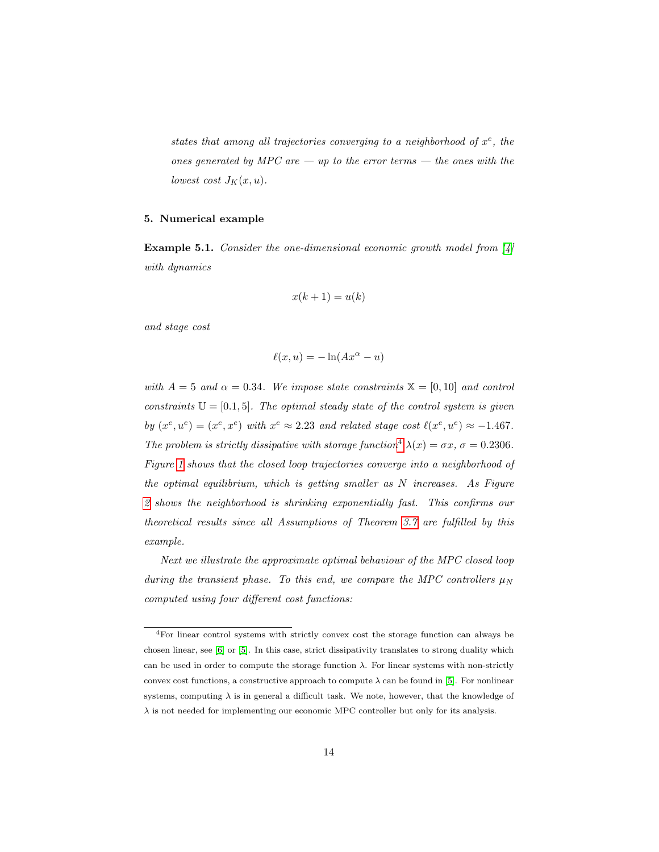states that among all trajectories converging to a neighborhood of  $x^e$ , the ones generated by MPC are  $-$  up to the error terms  $-$  the ones with the lowest cost  $J_K(x, u)$ .

### <span id="page-13-0"></span>5. Numerical example

**Example 5.1.** Consider the one-dimensional economic growth model from  $[4]$ with dynamics

$$
x(k+1) = u(k)
$$

and stage cost

$$
\ell(x, u) = -\ln(Ax^{\alpha} - u)
$$

with  $A = 5$  and  $\alpha = 0.34$ . We impose state constraints  $\mathbb{X} = [0, 10]$  and control constraints  $\mathbb{U} = [0.1, 5]$ . The optimal steady state of the control system is given by  $(x^e, u^e) = (x^e, x^e)$  with  $x^e \approx 2.23$  and related stage cost  $\ell(x^e, u^e) \approx -1.467$ . The problem is strictly dissipative with storage function<sup>[4](#page-13-1)</sup>  $\lambda(x) = \sigma x$ ,  $\sigma = 0.2306$ . Figure [1](#page-14-0) shows that the closed loop trajectories converge into a neighborhood of the optimal equilibrium, which is getting smaller as  $N$  increases. As Figure [2](#page-14-1) shows the neighborhood is shrinking exponentially fast. This confirms our theoretical results since all Assumptions of Theorem [3.7](#page-9-4) are fulfilled by this example.

Next we illustrate the approximate optimal behaviour of the MPC closed loop during the transient phase. To this end, we compare the MPC controllers  $\mu_N$ computed using four different cost functions:

<span id="page-13-1"></span><sup>4</sup>For linear control systems with strictly convex cost the storage function can always be chosen linear, see [\[6\]](#page-26-7) or [\[5\]](#page-26-5). In this case, strict dissipativity translates to strong duality which can be used in order to compute the storage function  $\lambda$ . For linear systems with non-strictly convex cost functions, a constructive approach to compute  $\lambda$  can be found in [\[5\]](#page-26-5). For nonlinear systems, computing  $\lambda$  is in general a difficult task. We note, however, that the knowledge of  $\lambda$  is not needed for implementing our economic MPC controller but only for its analysis.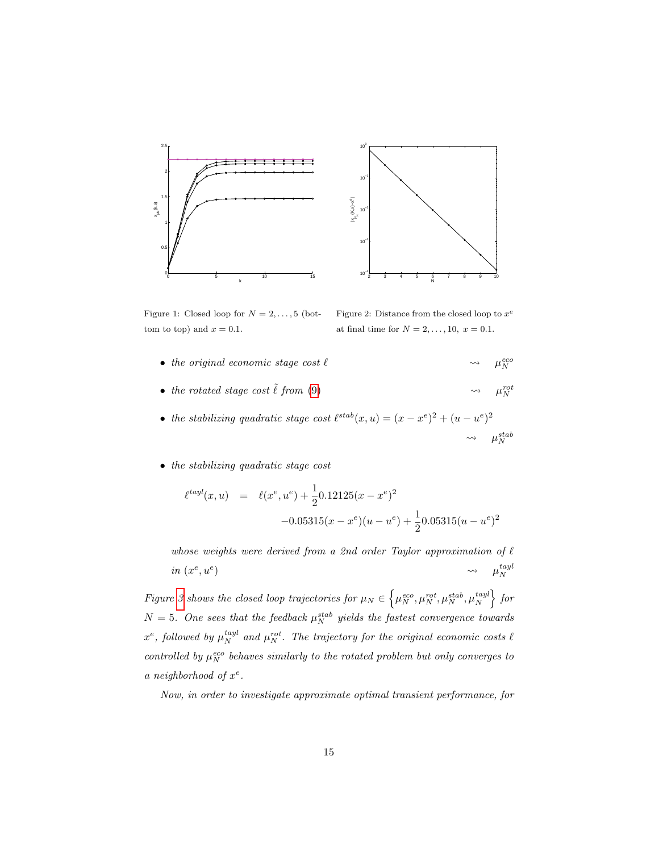



<span id="page-14-0"></span>Figure 1: Closed loop for  $N = 2, \ldots, 5$  (bottom to top) and  $x = 0.1$ .

<span id="page-14-1"></span>Figure 2: Distance from the closed loop to  $x^e$ at final time for  $N = 2, ..., 10, x = 0.1$ .

- the original economic stage cost  $\ell$ eco N
- the rotated stage cost  $\tilde{\ell}$  from [\(9\)](#page-7-0) rot N
- the stabilizing quadratic stage cost  $\ell^{stab}(x, u) = (x x^e)^2 + (u u^e)^2$  $\rightsquigarrow$   $\mu_N^{stab}$
- the stabilizing quadratic stage cost

$$
\ell^{tayl}(x, u) = \ell(x^e, u^e) + \frac{1}{2} 0.12125(x - x^e)^2
$$

$$
-0.05315(x - x^e)(u - u^e) + \frac{1}{2} 0.05315(u - u^e)^2
$$

whose weights were derived from a 2nd order Taylor approximation of  $\ell$ in  $(x^e, u^e)$ )  $\rightarrow$   $\mu_N^{tayl}$ 

Figure [3](#page-15-0) shows the closed loop trajectories for  $\mu_N \in \left\{ \mu_N^{eco}, \mu_N^{rot}, \mu_N^{stab}, \mu_N^{tayl} \right\}$  for  $N = 5$ . One sees that the feedback  $\mu_N^{stab}$  yields the fastest convergence towards  $x^e$ , followed by  $\mu_N^{tayl}$  and  $\mu_N^{rot}$ . The trajectory for the original economic costs  $\ell$ controlled by  $\mu_N^{eco}$  behaves similarly to the rotated problem but only converges to a neighborhood of  $x^e$ .

Now, in order to investigate approximate optimal transient performance, for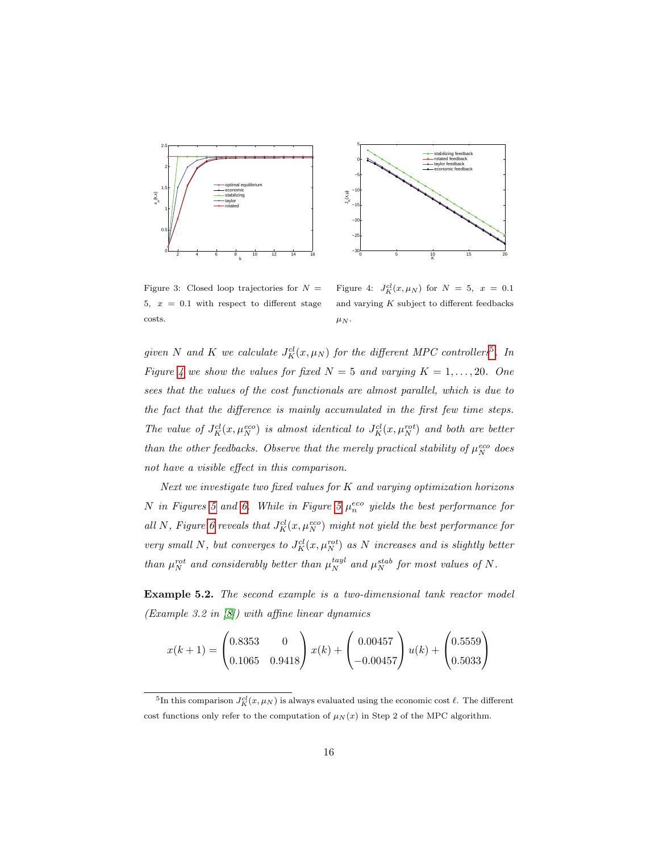



<span id="page-15-0"></span>Figure 3: Closed loop trajectories for  $N =$ 5,  $x = 0.1$  with respect to different stage costs.

<span id="page-15-2"></span>Figure 4:  $J_K^{cl}(x,\mu_N)$  for  $N = 5, x = 0.1$ and varying  $K$  subject to different feedbacks  $\mu_N$ .

given N and K we calculate  $J_K^{cl}(x,\mu_N)$  for the different MPC controllers<sup>[5](#page-15-1)</sup>. In Figure [4](#page-15-2) we show the values for fixed  $N = 5$  and varying  $K = 1, \ldots, 20$ . One sees that the values of the cost functionals are almost parallel, which is due to the fact that the difference is mainly accumulated in the first few time steps. The value of  $J_K^{cl}(x,\mu_N^{eco})$  is almost identical to  $J_K^{cl}(x,\mu_N^{rot})$  and both are better than the other feedbacks. Observe that the merely practical stability of  $\mu_N^{eco}$  does not have a visible effect in this comparison.

Next we investigate two fixed values for  $K$  and varying optimization horizons N in Figures [5](#page-16-0) and [6.](#page-16-1) While in Figure 5  $\mu_n^{eco}$  yields the best performance for all N, Figure [6](#page-16-1) reveals that  $J_K^{cl}(x,\mu_N^{eco})$  might not yield the best performance for very small N, but converges to  $J_K^{cl}(x,\mu_N^{rot})$  as N increases and is slightly better than  $\mu_N^{rot}$  and considerably better than  $\mu_N^{tayl}$  and  $\mu_N^{stab}$  for most values of N.

Example 5.2. The second example is a two-dimensional tank reactor model (Example 3.2 in [\[8\]](#page-26-4)) with affine linear dynamics

$$
x(k+1) = \begin{pmatrix} 0.8353 & 0 \\ 0.1065 & 0.9418 \end{pmatrix} x(k) + \begin{pmatrix} 0.00457 \\ -0.00457 \end{pmatrix} u(k) + \begin{pmatrix} 0.5559 \\ 0.5033 \end{pmatrix}
$$

<span id="page-15-1"></span><sup>&</sup>lt;sup>5</sup>In this comparison  $J_K^{cl}(x,\mu_N)$  is always evaluated using the economic cost  $\ell$ . The different cost functions only refer to the computation of  $\mu_N(x)$  in Step 2 of the MPC algorithm.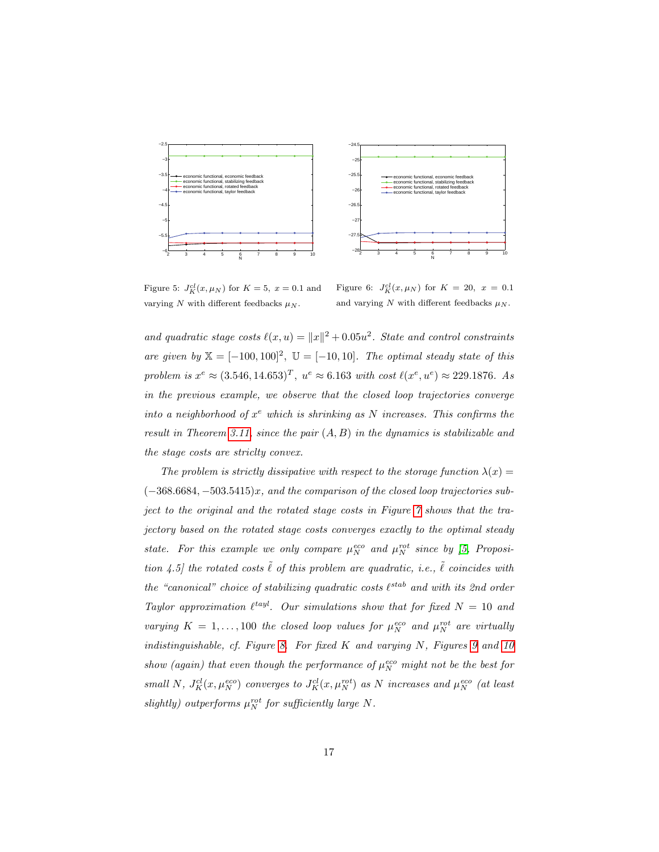

 $-28$   $-3$   $4$  5 6 7 8 9 10 −27.5 −27 −26.5 −26 −25.5 −25  $-24.5$ r N economic functional, economic feedback economic functional, stabilizing feedback economic functional, rotated feedback economic functional, taylor feedback

<span id="page-16-0"></span>Figure 5:  $J_K^{cl}(x,\mu_N)$  for  $K=5, x=0.1$  and varying N with different feedbacks  $\mu_N$ .

<span id="page-16-1"></span>Figure 6:  $J_K^{cl}(x,\mu_N)$  for  $K = 20, x = 0.1$ and varying N with different feedbacks  $\mu_N$ .

and quadratic stage costs  $\ell(x, u) = ||x||^2 + 0.05u^2$ . State and control constraints are given by  $X = [-100, 100]^2$ ,  $\mathbb{U} = [-10, 10]$ . The optimal steady state of this problem is  $x^e \approx (3.546, 14.653)^T$ ,  $u^e \approx 6.163$  with cost  $\ell(x^e, u^e) \approx 229.1876$ . As in the previous example, we observe that the closed loop trajectories converge into a neighborhood of  $x^e$  which is shrinking as N increases. This confirms the result in Theorem [3.11,](#page-10-1) since the pair  $(A, B)$  in the dynamics is stabilizable and the stage costs are striclty convex.

The problem is strictly dissipative with respect to the storage function  $\lambda(x) =$  $(-368.6684, -503.5415)x$ , and the comparison of the closed loop trajectories subject to the original and the rotated stage costs in Figure [7](#page-17-0) shows that the trajectory based on the rotated stage costs converges exactly to the optimal steady state. For this example we only compare  $\mu_N^{eco}$  and  $\mu_N^{rot}$  since by [\[5,](#page-26-5) Proposition 4.5] the rotated costs  $\tilde{\ell}$  of this problem are quadratic, i.e.,  $\tilde{\ell}$  coincides with the "canonical" choice of stabilizing quadratic costs  $\ell^{stab}$  and with its 2nd order Taylor approximation  $\ell^{tayl}$ . Our simulations show that for fixed  $N = 10$  and varying  $K = 1, ..., 100$  the closed loop values for  $\mu_N^{eco}$  and  $\mu_N^{rot}$  are virtually indistinguishable, cf. Figure [8.](#page-17-1) For fixed  $K$  and varying  $N$ , Figures [9](#page-17-2) and [10](#page-17-3) show (again) that even though the performance of  $\mu_N^{eco}$  might not be the best for small N,  $J_K^{cl}(x,\mu_N^{eco})$  converges to  $J_K^{cl}(x,\mu_N^{rot})$  as N increases and  $\mu_N^{eco}$  (at least slightly) outperforms  $\mu_N^{rot}$  for sufficiently large N.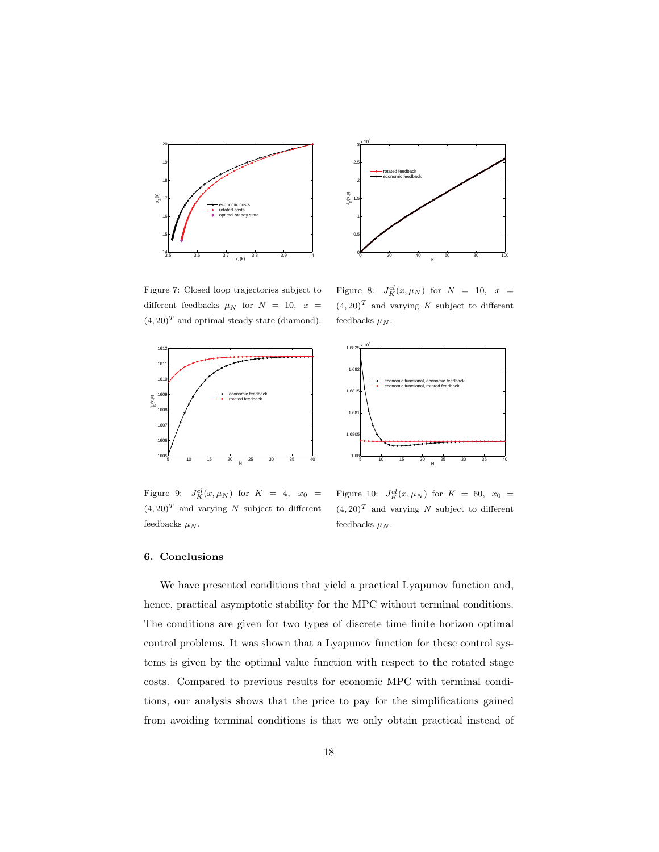

0 20 40 60 80 100 0.  $0.5$ 1 1.5 2  $2.5$ ≕∸3 K JK(x, µ) rotated feedback economic feedback

 $\times$  10<sup>4</sup>

<span id="page-17-0"></span>Figure 7: Closed loop trajectories subject to different feedbacks  $\mu_N$  for  $N = 10$ ,  $x =$  $(4, 20)^T$  and optimal steady state (diamond).

<span id="page-17-1"></span>Figure 8:  $J_K^{cl}(x,\mu_N)$  for  $N = 10$ ,  $x =$  $(4, 20)^T$  and varying K subject to different feedbacks  $\mu_N$ .



<span id="page-17-2"></span>Figure 9:  $J_K^{cl}(x,\mu_N)$  for  $K = 4, x_0 =$  $(4, 20)^T$  and varying N subject to different feedbacks  $\mu_N.$ 



<span id="page-17-3"></span>Figure 10:  $J_K^{cl}(x,\mu_N)$  for  $K = 60, x_0 =$  $(4, 20)^T$  and varying N subject to different feedbacks  $\mu_N$ .

## 6. Conclusions

We have presented conditions that yield a practical Lyapunov function and, hence, practical asymptotic stability for the MPC without terminal conditions. The conditions are given for two types of discrete time finite horizon optimal control problems. It was shown that a Lyapunov function for these control systems is given by the optimal value function with respect to the rotated stage costs. Compared to previous results for economic MPC with terminal conditions, our analysis shows that the price to pay for the simplifications gained from avoiding terminal conditions is that we only obtain practical instead of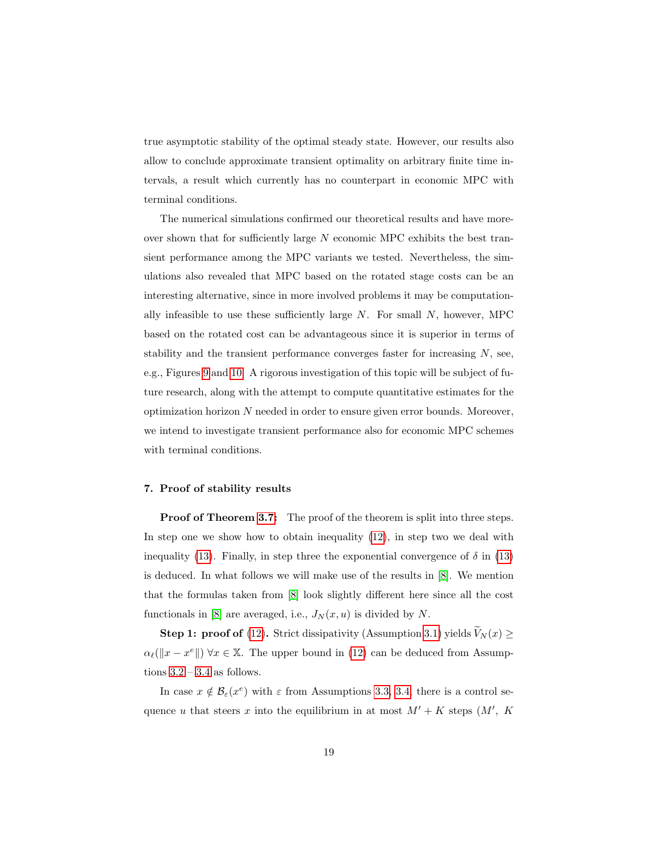true asymptotic stability of the optimal steady state. However, our results also allow to conclude approximate transient optimality on arbitrary finite time intervals, a result which currently has no counterpart in economic MPC with terminal conditions.

The numerical simulations confirmed our theoretical results and have moreover shown that for sufficiently large  $N$  economic MPC exhibits the best transient performance among the MPC variants we tested. Nevertheless, the simulations also revealed that MPC based on the rotated stage costs can be an interesting alternative, since in more involved problems it may be computationally infeasible to use these sufficiently large  $N$ . For small  $N$ , however, MPC based on the rotated cost can be advantageous since it is superior in terms of stability and the transient performance converges faster for increasing  $N$ , see, e.g., Figures [9](#page-17-2) and [10.](#page-17-3) A rigorous investigation of this topic will be subject of future research, along with the attempt to compute quantitative estimates for the optimization horizon  $N$  needed in order to ensure given error bounds. Moreover, we intend to investigate transient performance also for economic MPC schemes with terminal conditions.

#### <span id="page-18-0"></span>7. Proof of stability results

**Proof of Theorem [3.7:](#page-9-4)** The proof of the theorem is split into three steps. In step one we show how to obtain inequality  $(12)$ , in step two we deal with inequality [\(13\)](#page-9-3). Finally, in step three the exponential convergence of  $\delta$  in (13) is deduced. In what follows we will make use of the results in [\[8\]](#page-26-4). We mention that the formulas taken from [\[8\]](#page-26-4) look slightly different here since all the cost functionals in [\[8\]](#page-26-4) are averaged, i.e.,  $J_N(x, u)$  is divided by N.

**Step 1: proof of** [\(12\)](#page-9-2). Strict dissipativity (Assumption [3.1\)](#page-7-0) yields  $V_N(x) \geq$  $\alpha_{\ell}(\Vert x - x^e \Vert) \ \forall x \in \mathbb{X}$ . The upper bound in [\(12\)](#page-9-2) can be deduced from Assumptions  $3.2 - 3.4$  $3.2 - 3.4$  as follows.

In case  $x \notin \mathcal{B}_{\varepsilon}(x^e)$  with  $\varepsilon$  from Assumptions [3.3,](#page-8-0) [3.4,](#page-8-1) there is a control sequence u that steers x into the equilibrium in at most  $M' + K$  steps  $(M', K')$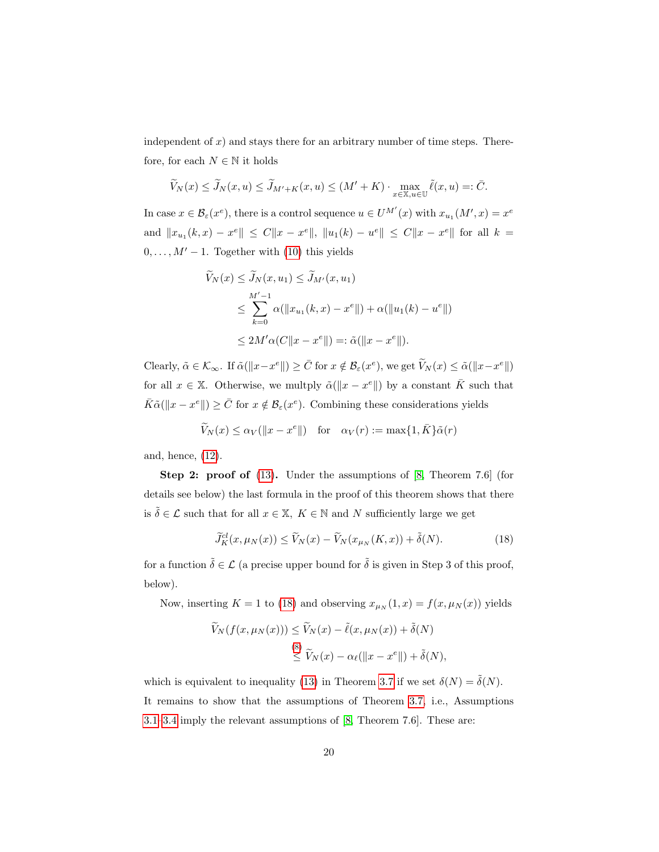independent of  $x$ ) and stays there for an arbitrary number of time steps. Therefore, for each  $N \in \mathbb{N}$  it holds

$$
\widetilde{V}_N(x) \le \widetilde{J}_N(x, u) \le \widetilde{J}_{M'+K}(x, u) \le (M' + K) \cdot \max_{x \in \mathbb{X}, u \in \mathbb{U}} \widetilde{\ell}(x, u) =: \overline{C}.
$$

In case  $x \in \mathcal{B}_{\varepsilon}(x^e)$ , there is a control sequence  $u \in U^{\mathcal{M}'}(x)$  with  $x_{u_1}(\mathcal{M}', x) = x^e$ and  $||x_{u_1}(k, x) - x^e|| \leq C||x - x^e||$ ,  $||u_1(k) - u^e|| \leq C||x - x^e||$  for all  $k =$  $0, \ldots, M' - 1$ . Together with [\(10\)](#page-7-1) this yields

$$
\widetilde{V}_N(x) \le \widetilde{J}_N(x, u_1) \le \widetilde{J}_{M'}(x, u_1)
$$
\n
$$
\le \sum_{k=0}^{M'-1} \alpha(||x_{u_1}(k, x) - x^e||) + \alpha(||u_1(k) - u^e||)
$$
\n
$$
\le 2M'\alpha(C||x - x^e||) =: \widetilde{\alpha}(||x - x^e||).
$$

Clearly,  $\tilde{\alpha} \in \mathcal{K}_{\infty}$ . If  $\tilde{\alpha}(\Vert x-x^e \Vert) \geq \bar{C}$  for  $x \notin \mathcal{B}_{\varepsilon}(x^e)$ , we get  $\tilde{V}_N(x) \leq \tilde{\alpha}(\Vert x-x^e \Vert)$ for all  $x \in \mathbb{X}$ . Otherwise, we multply  $\tilde{\alpha}(\Vert x - x^e \Vert)$  by a constant  $\overline{K}$  such that  $\bar{K}\tilde{\alpha}(\Vert x - x^e \Vert) \geq \bar{C}$  for  $x \notin \mathcal{B}_{\varepsilon}(x^e)$ . Combining these considerations yields

$$
\widetilde{V}_N(x) \leq \alpha_V(||x - x^e||)
$$
 for  $\alpha_V(r) := \max\{1, \overline{K}\}\tilde{\alpha}(r)$ 

and, hence, [\(12\)](#page-9-2).

Step 2: proof of [\(13\)](#page-9-3). Under the assumptions of [\[8,](#page-26-4) Theorem 7.6] (for details see below) the last formula in the proof of this theorem shows that there is  $\tilde{\delta} \in \mathcal{L}$  such that for all  $x \in \mathbb{X}$ ,  $K \in \mathbb{N}$  and N sufficiently large we get

<span id="page-19-0"></span>
$$
\widetilde{J}_K^{cl}(x,\mu_N(x)) \le \widetilde{V}_N(x) - \widetilde{V}_N(x_{\mu_N}(K,x)) + \widetilde{\delta}(N). \tag{18}
$$

for a function  $\tilde{\delta} \in \mathcal{L}$  (a precise upper bound for  $\tilde{\delta}$  is given in Step 3 of this proof, below).

Now, inserting  $K = 1$  to [\(18\)](#page-19-0) and observing  $x_{\mu_N}(1, x) = f(x, \mu_N(x))$  yields

$$
\widetilde{V}_N(f(x,\mu_N(x))) \leq \widetilde{V}_N(x) - \widetilde{\ell}(x,\mu_N(x)) + \widetilde{\delta}(N)
$$
  

$$
\leq \widetilde{V}_N(x) - \alpha_{\ell}(\|x - x^e\|) + \widetilde{\delta}(N),
$$

which is equivalent to inequality [\(13\)](#page-9-3) in Theorem [3.7](#page-9-4) if we set  $\delta(N) = \tilde{\delta}(N)$ . It remains to show that the assumptions of Theorem [3.7,](#page-9-4) i.e., Assumptions [3.1](#page-7-0)[–3.4](#page-8-1) imply the relevant assumptions of [\[8,](#page-26-4) Theorem 7.6]. These are: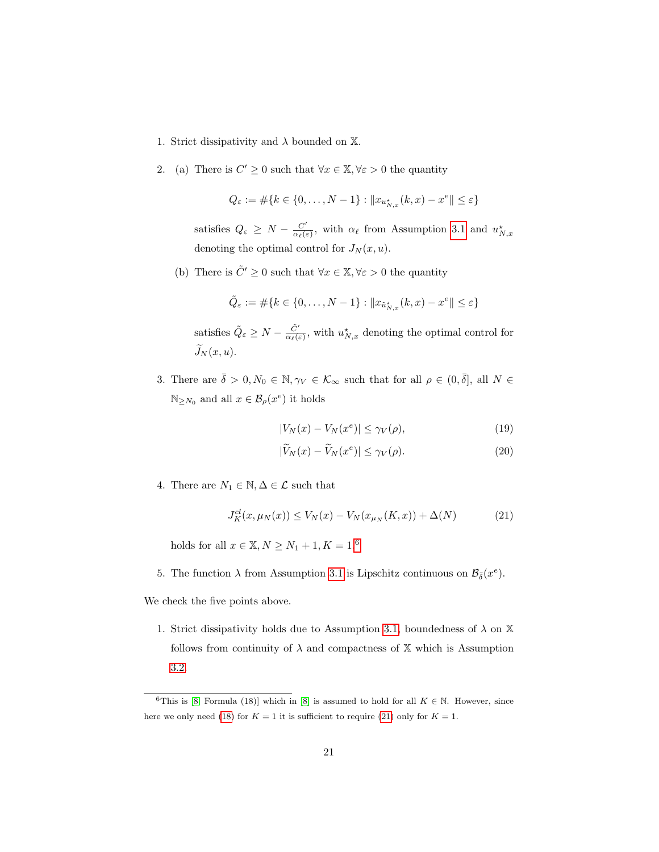- 1. Strict dissipativity and  $\lambda$  bounded on  $\mathbb{X}$ .
- 2. (a) There is  $C' \geq 0$  such that  $\forall x \in \mathbb{X}, \forall \varepsilon > 0$  the quantity

$$
Q_{\varepsilon} := \# \{ k \in \{0, \dots, N - 1\} : \|x_{u^{\star}_{N,x}}(k,x) - x^{e}\| \leq \varepsilon \}
$$

satisfies  $Q_{\varepsilon} \geq N - \frac{C'}{\alpha_{\varepsilon}(\varepsilon)}$  $\frac{C'}{\alpha_{\ell}(\varepsilon)}$ , with  $\alpha_{\ell}$  from Assumption [3.1](#page-7-0) and  $u_{N,x}^{\star}$ denoting the optimal control for  $J_N(x, u)$ .

(b) There is  $\tilde{C}' \geq 0$  such that  $\forall x \in \mathbb{X}, \forall \varepsilon > 0$  the quantity

$$
\tilde{Q}_{\varepsilon}:=\#\{k\in\{0,\ldots,N-1\}:\|x_{\tilde{u}_{N,x}^{\star}}(k,x)-x^{e}\|\leq\varepsilon\}
$$

satisfies  $\tilde{Q}_{\varepsilon} \geq N - \frac{\tilde{C}'}{\alpha_{\ell}(\varepsilon)}$ , with  $u^{\star}_{N,x}$  denoting the optimal control for  $\widetilde{J}_N (x, u)$ .

3. There are  $\bar{\delta} > 0, N_0 \in \mathbb{N}, \gamma_V \in \mathcal{K}_{\infty}$  such that for all  $\rho \in (0, \bar{\delta}],$  all  $N \in$  $\mathbb{N}_{\geq N_0}$  and all  $x \in \mathcal{B}_{\rho}(x^e)$  it holds

<span id="page-20-3"></span><span id="page-20-2"></span>
$$
|V_N(x) - V_N(x^e)| \le \gamma_V(\rho),\tag{19}
$$

<span id="page-20-1"></span>
$$
|\widetilde{V}_N(x) - \widetilde{V}_N(x^e)| \le \gamma_V(\rho). \tag{20}
$$

4. There are  $N_1 \in \mathbb{N}, \Delta \in \mathcal{L}$  such that

$$
J_K^{cl}(x, \mu_N(x)) \le V_N(x) - V_N(x_{\mu_N}(K, x)) + \Delta(N)
$$
 (21)

holds for all  $x \in \mathbb{X}, N \geq N_1 + 1, K = 1.6$  $x \in \mathbb{X}, N \geq N_1 + 1, K = 1.6$ 

5. The function  $\lambda$  from Assumption [3.1](#page-7-0) is Lipschitz continuous on  $\mathcal{B}_{\bar{\delta}}(x^e)$ .

We check the five points above.

1. Strict dissipativity holds due to Assumption [3.1,](#page-7-0) boundedness of  $\lambda$  on  $\mathbb X$ follows from continuity of  $\lambda$  and compactness of  $X$  which is Assumption [3.2.](#page-7-1)

<span id="page-20-0"></span><sup>&</sup>lt;sup>6</sup>This is [\[8,](#page-26-4) Formula (18)] which in [\[8\]](#page-26-4) is assumed to hold for all  $K \in \mathbb{N}$ . However, since here we only need [\(18\)](#page-19-0) for  $K = 1$  it is sufficient to require [\(21\)](#page-20-1) only for  $K = 1$ .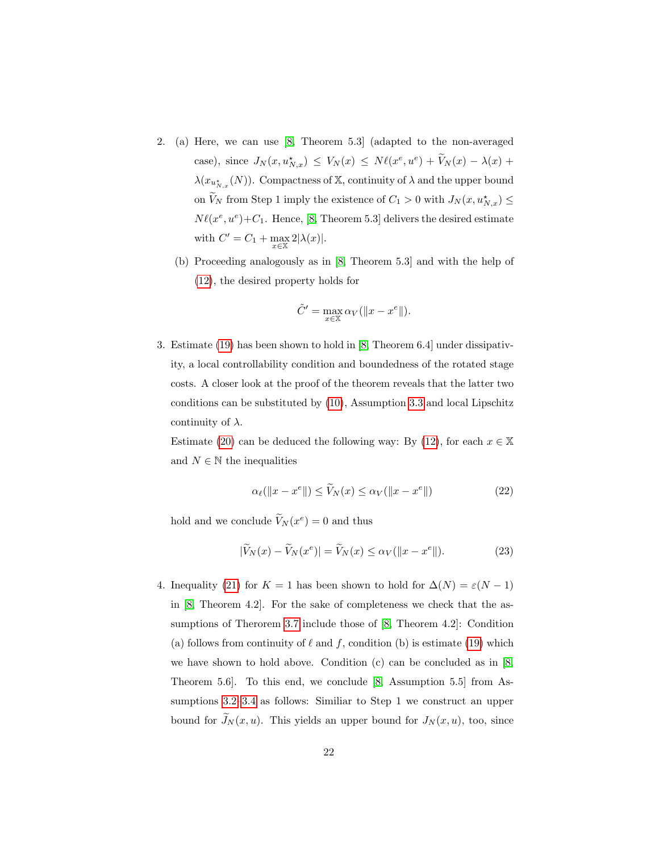- 2. (a) Here, we can use [\[8,](#page-26-4) Theorem 5.3] (adapted to the non-averaged case), since  $J_N(x, u^*_{N,x}) \leq V_N(x) \leq N\ell(x^e, u^e) + V_N(x) - \lambda(x) +$  $\lambda(x_{u_{N,x}^{\star}}(N))$ . Compactness of X, continuity of  $\lambda$  and the upper bound on  $V_N$  from Step 1 imply the existence of  $C_1 > 0$  with  $J_N(x, u_{N,x}^{\star}) \leq$  $N\ell(x^e, u^e) + C_1$ . Hence, [\[8,](#page-26-4) Theorem 5.3] delivers the desired estimate with  $C' = C_1 + \max_{x \in \mathbb{X}} 2|\lambda(x)|$ .
	- (b) Proceeding analogously as in [\[8,](#page-26-4) Theorem 5.3] and with the help of [\(12\)](#page-9-2), the desired property holds for

$$
\tilde{C}' = \max_{x \in \mathbb{X}} \alpha_V(||x - x^e||).
$$

3. Estimate [\(19\)](#page-20-2) has been shown to hold in [\[8,](#page-26-4) Theorem 6.4] under dissipativity, a local controllability condition and boundedness of the rotated stage costs. A closer look at the proof of the theorem reveals that the latter two conditions can be substituted by [\(10\)](#page-7-1), Assumption [3.3](#page-8-0) and local Lipschitz continuity of  $\lambda$ .

Estimate [\(20\)](#page-20-3) can be deduced the following way: By [\(12\)](#page-9-2), for each  $x \in \mathbb{X}$ and  $N \in \mathbb{N}$  the inequalities

$$
\alpha_{\ell}(\|x - x^{\epsilon}\|) \le \widetilde{V}_N(x) \le \alpha_V(\|x - x^{\epsilon}\|) \tag{22}
$$

hold and we conclude  $V_N(x^e) = 0$  and thus

$$
|\widetilde{V}_N(x) - \widetilde{V}_N(x^e)| = \widetilde{V}_N(x) \le \alpha_V(\|x - x^e\|). \tag{23}
$$

4. Inequality [\(21\)](#page-20-1) for  $K = 1$  has been shown to hold for  $\Delta(N) = \varepsilon(N-1)$ in [\[8,](#page-26-4) Theorem 4.2]. For the sake of completeness we check that the assumptions of Therorem [3.7](#page-9-4) include those of [\[8,](#page-26-4) Theorem 4.2]: Condition (a) follows from continuity of  $\ell$  and f, condition (b) is estimate [\(19\)](#page-20-2) which we have shown to hold above. Condition (c) can be concluded as in [\[8,](#page-26-4) Theorem 5.6]. To this end, we conclude [\[8,](#page-26-4) Assumption 5.5] from Assumptions [3.2–](#page-7-1)[3.4](#page-8-1) as follows: Similiar to Step 1 we construct an upper bound for  $\widetilde{J}_N(x, u)$ . This yields an upper bound for  $J_N(x, u)$ , too, since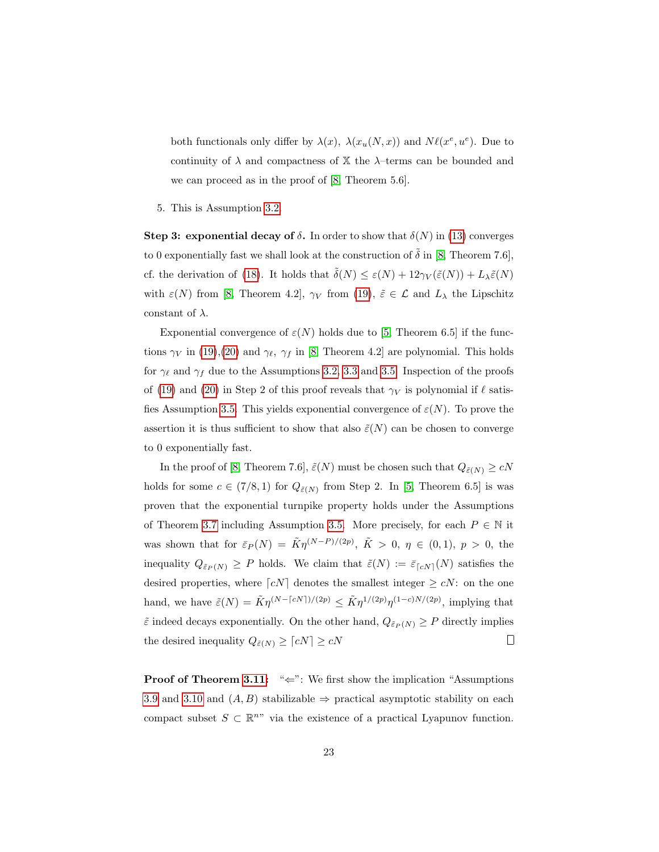both functionals only differ by  $\lambda(x)$ ,  $\lambda(x_u(N, x))$  and  $N\ell(x^e, u^e)$ . Due to continuity of  $\lambda$  and compactness of  $\mathbb{X}$  the  $\lambda$ -terms can be bounded and we can proceed as in the proof of [\[8,](#page-26-4) Theorem 5.6].

5. This is Assumption [3.2.](#page-7-1)

Step 3: exponential decay of  $\delta$ . In order to show that  $\delta(N)$  in [\(13\)](#page-9-3) converges to 0 exponentially fast we shall look at the construction of  $\tilde{\delta}$  in [\[8,](#page-26-4) Theorem 7.6], cf. the derivation of [\(18\)](#page-19-0). It holds that  $\tilde{\delta}(N) \leq \varepsilon(N) + 12\gamma_V(\tilde{\varepsilon}(N)) + L_{\lambda}\tilde{\varepsilon}(N)$ with  $\varepsilon(N)$  from [\[8,](#page-26-4) Theorem 4.2],  $\gamma_V$  from [\(19\)](#page-20-2),  $\tilde{\varepsilon} \in \mathcal{L}$  and  $L_\lambda$  the Lipschitz constant of  $\lambda$ .

Exponential convergence of  $\varepsilon(N)$  holds due to [\[5,](#page-26-5) Theorem 6.5] if the functions  $\gamma_V$  in [\(19\)](#page-20-2),[\(20\)](#page-20-3) and  $\gamma_{\ell}$ ,  $\gamma_f$  in [\[8,](#page-26-4) Theorem 4.2] are polynomial. This holds for  $\gamma_{\ell}$  and  $\gamma_f$  due to the Assumptions [3.2,](#page-7-1) [3.3](#page-8-0) and [3.5.](#page-8-2) Inspection of the proofs of [\(19\)](#page-20-2) and [\(20\)](#page-20-3) in Step 2 of this proof reveals that  $\gamma_V$  is polynomial if  $\ell$  satis-fies Assumption [3.5.](#page-8-2) This yields exponential convergence of  $\varepsilon(N)$ . To prove the assertion it is thus sufficient to show that also  $\tilde{\varepsilon}(N)$  can be chosen to converge to 0 exponentially fast.

In the proof of [\[8,](#page-26-4) Theorem 7.6],  $\tilde{\varepsilon}(N)$  must be chosen such that  $Q_{\tilde{\varepsilon}(N)}\ge cN$ holds for some  $c \in (7/8, 1)$  for  $Q_{\tilde{\varepsilon}(N)}$  from Step 2. In [\[5,](#page-26-5) Theorem 6.5] is was proven that the exponential turnpike property holds under the Assumptions of Theorem [3.7](#page-9-4) including Assumption [3.5.](#page-8-2) More precisely, for each  $P \in \mathbb{N}$  it was shown that for  $\bar{\varepsilon}_P(N) = \tilde{K}\eta^{(N-P)/(2p)}$ ,  $\tilde{K} > 0$ ,  $\eta \in (0,1)$ ,  $p > 0$ , the inequality  $Q_{\tilde{\varepsilon}_P(N)} \geq P$  holds. We claim that  $\tilde{\varepsilon}(N) := \bar{\varepsilon}_{\lceil cN\rceil}(N)$  satisfies the desired properties, where  $\lceil cN \rceil$  denotes the smallest integer  $\geq cN$ : on the one hand, we have  $\tilde{\varepsilon}(N) = \tilde{K} \eta^{(N - \lceil cN \rceil)/(2p)} \leq \tilde{K} \eta^{1/(2p)} \eta^{(1-c)N/(2p)}$ , implying that  $\tilde{\varepsilon}$  indeed decays exponentially. On the other hand,  $Q_{\tilde{\varepsilon}_P(N)} \geq P$  directly implies  $\Box$ the desired inequality  $Q_{\tilde{\varepsilon}(N)} \geq \lceil cN \rceil \geq cN$ 

Proof of Theorem [3.11:](#page-10-1) "←": We first show the implication "Assumptions [3.9](#page-9-1) and [3.10](#page-10-0) and  $(A, B)$  stabilizable  $\Rightarrow$  practical asymptotic stability on each compact subset  $S \subset \mathbb{R}^{n}$ " via the existence of a practical Lyapunov function.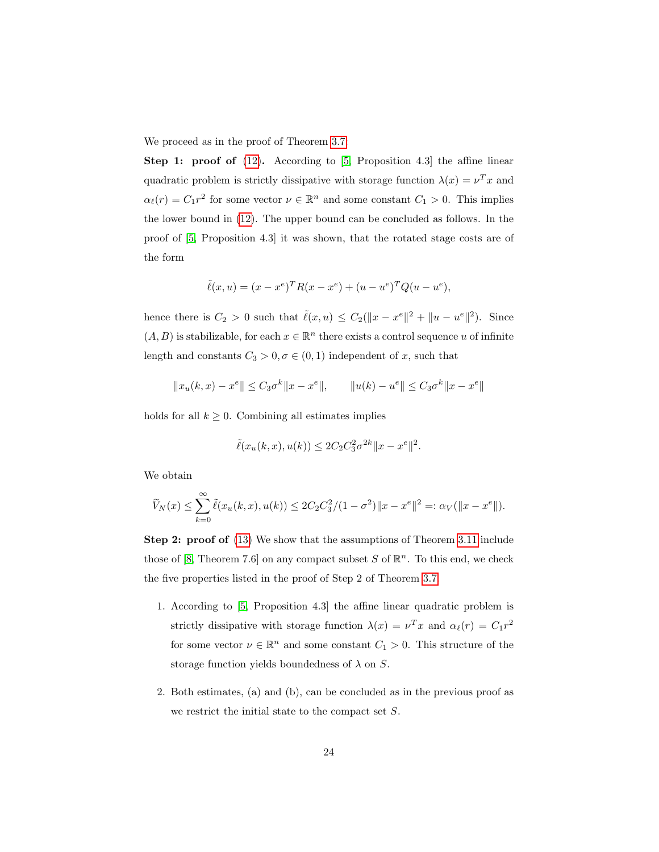We proceed as in the proof of Theorem [3.7:](#page-9-4)

**Step 1: proof of**  $(12)$ . According to [\[5,](#page-26-5) Proposition 4.3] the affine linear quadratic problem is strictly dissipative with storage function  $\lambda(x) = v^T x$  and  $\alpha_{\ell}(r) = C_1 r^2$  for some vector  $\nu \in \mathbb{R}^n$  and some constant  $C_1 > 0$ . This implies the lower bound in [\(12\)](#page-9-2). The upper bound can be concluded as follows. In the proof of [\[5,](#page-26-5) Proposition 4.3] it was shown, that the rotated stage costs are of the form

$$
\tilde{\ell}(x, u) = (x - x^e)^T R (x - x^e) + (u - u^e)^T Q (u - u^e),
$$

hence there is  $C_2 > 0$  such that  $\tilde{\ell}(x, u) \leq C_2(||x - x^e||^2 + ||u - u^e||^2)$ . Since  $(A, B)$  is stabilizable, for each  $x \in \mathbb{R}^n$  there exists a control sequence u of infinite length and constants  $C_3 > 0, \sigma \in (0, 1)$  independent of x, such that

$$
||x_u(k, x) - x^e|| \leq C_3 \sigma^k ||x - x^e||,
$$
  $||u(k) - u^e|| \leq C_3 \sigma^k ||x - x^e||$ 

holds for all  $k \geq 0$ . Combining all estimates implies

$$
\tilde{\ell}(x_u(k, x), u(k)) \le 2C_2 C_3^2 \sigma^{2k} \|x - x^e\|^2.
$$

We obtain

$$
\widetilde{V}_N(x) \le \sum_{k=0}^{\infty} \widetilde{\ell}(x_u(k, x), u(k)) \le 2C_2 C_3^2 / (1 - \sigma^2) \|x - x^e\|^2 =: \alpha_V(\|x - x^e\|).
$$

Step 2: proof of [\(13\)](#page-9-3) We show that the assumptions of Theorem [3.11](#page-10-1) include those of [\[8,](#page-26-4) Theorem 7.6] on any compact subset S of  $\mathbb{R}^n$ . To this end, we check the five properties listed in the proof of Step 2 of Theorem [3.7.](#page-9-4)

- 1. According to [\[5,](#page-26-5) Proposition 4.3] the affine linear quadratic problem is strictly dissipative with storage function  $\lambda(x) = \nu^T x$  and  $\alpha_{\ell}(r) = C_1 r^2$ for some vector  $\nu \in \mathbb{R}^n$  and some constant  $C_1 > 0$ . This structure of the storage function yields boundedness of  $\lambda$  on S.
- 2. Both estimates, (a) and (b), can be concluded as in the previous proof as we restrict the initial state to the compact set S.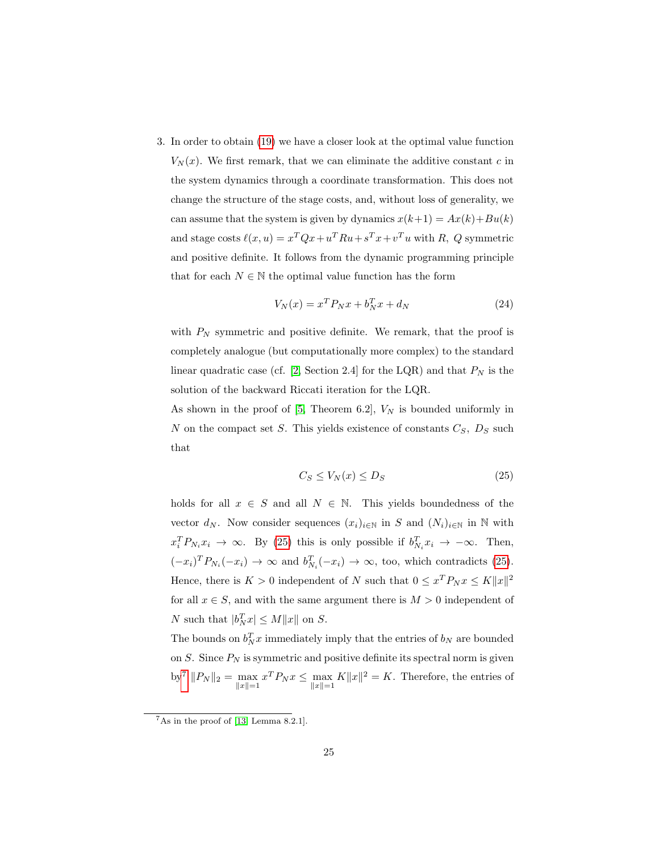3. In order to obtain [\(19\)](#page-20-2) we have a closer look at the optimal value function  $V_N(x)$ . We first remark, that we can eliminate the additive constant c in the system dynamics through a coordinate transformation. This does not change the structure of the stage costs, and, without loss of generality, we can assume that the system is given by dynamics  $x(k+1) = Ax(k) + Bu(k)$ and stage costs  $\ell(x, u) = x^T Q x + u^T R u + s^T x + v^T u$  with R, Q symmetric and positive definite. It follows from the dynamic programming principle that for each  $N \in \mathbb{N}$  the optimal value function has the form

$$
V_N(x) = x^T P_N x + b_N^T x + d_N \tag{24}
$$

with  $P_N$  symmetric and positive definite. We remark, that the proof is completely analogue (but computationally more complex) to the standard linear quadratic case (cf. [\[2,](#page-25-1) Section 2.4] for the LQR) and that  $P_N$  is the solution of the backward Riccati iteration for the LQR.

As shown in the proof of  $[5,$  Theorem 6.2,  $V_N$  is bounded uniformly in N on the compact set S. This yields existence of constants  $C_S$ ,  $D_S$  such that

<span id="page-24-0"></span>
$$
C_S \le V_N(x) \le D_S \tag{25}
$$

holds for all  $x \in S$  and all  $N \in \mathbb{N}$ . This yields boundedness of the vector  $d_N$ . Now consider sequences  $(x_i)_{i\in\mathbb{N}}$  in S and  $(N_i)_{i\in\mathbb{N}}$  in  $\mathbb N$  with  $x_i^T P_{N_i} x_i \to \infty$ . By [\(25\)](#page-24-0) this is only possible if  $b_{N_i}^T x_i \to -\infty$ . Then,  $(-x_i)^T P_{N_i}(-x_i) \to \infty$  and  $b_{N_i}^T(-x_i) \to \infty$ , too, which contradicts [\(25\)](#page-24-0). Hence, there is  $K > 0$  independent of N such that  $0 \le x^T P_N x \le K ||x||^2$ for all  $x \in S$ , and with the same argument there is  $M > 0$  independent of N such that  $|b_N^T x| \le M ||x||$  on S.

The bounds on  $b_N^T x$  immediately imply that the entries of  $b_N$  are bounded on S. Since  $P_N$  is symmetric and positive definite its spectral norm is given by<sup>[7](#page-24-1)</sup>  $||P_N||_2 = \max_{||x||=1} x^T P_N x \le \max_{||x||=1} K||x||^2 = K$ . Therefore, the entries of

<span id="page-24-1"></span> $7$ As in the proof of [\[13,](#page-27-0) Lemma 8.2.1].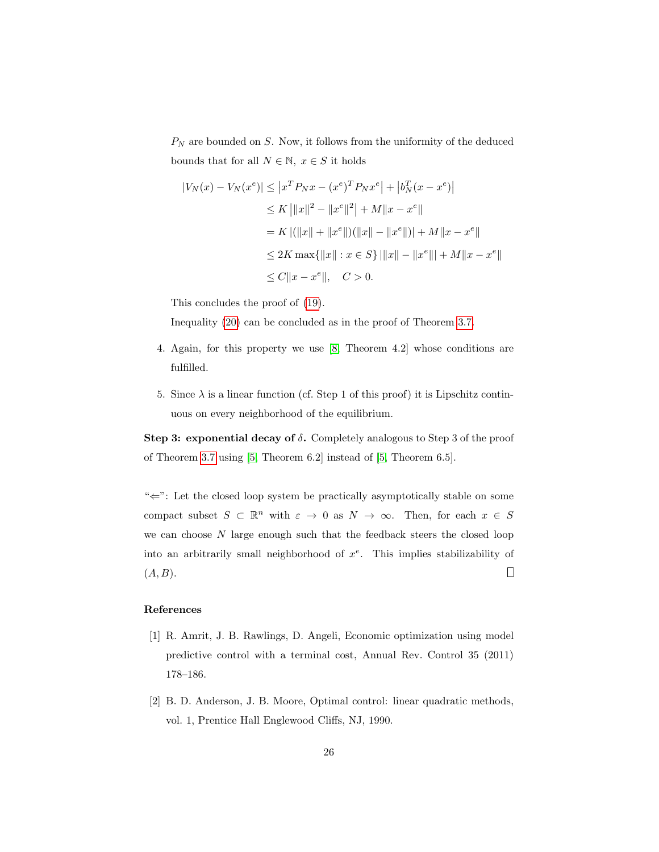$P_N$  are bounded on S. Now, it follows from the uniformity of the deduced bounds that for all  $N \in \mathbb{N}$ ,  $x \in S$  it holds

$$
|V_N(x) - V_N(x^e)| \le |x^T P_N x - (x^e)^T P_N x^e| + |b_N^T (x - x^e)|
$$
  
\n
$$
\le K ||x||^2 - ||x^e||^2 + M ||x - x^e||
$$
  
\n
$$
= K |(||x|| + ||x^e||)(||x|| - ||x^e||) + M ||x - x^e||
$$
  
\n
$$
\le 2K \max{||x|| : x \in S} ||x|| - ||x^e|| + M ||x - x^e||
$$
  
\n
$$
\le C ||x - x^e||, \quad C > 0.
$$

This concludes the proof of [\(19\)](#page-20-2).

Inequality [\(20\)](#page-20-3) can be concluded as in the proof of Theorem [3.7.](#page-9-4)

- 4. Again, for this property we use [\[8,](#page-26-4) Theorem 4.2] whose conditions are fulfilled.
- 5. Since  $\lambda$  is a linear function (cf. Step 1 of this proof) it is Lipschitz continuous on every neighborhood of the equilibrium.

Step 3: exponential decay of  $\delta$ . Completely analogous to Step 3 of the proof of Theorem [3.7](#page-9-4) using [\[5,](#page-26-5) Theorem 6.2] instead of [\[5,](#page-26-5) Theorem 6.5].

"⇐": Let the closed loop system be practically asymptotically stable on some compact subset  $S \subset \mathbb{R}^n$  with  $\varepsilon \to 0$  as  $N \to \infty$ . Then, for each  $x \in S$ we can choose  $N$  large enough such that the feedback steers the closed loop into an arbitrarily small neighborhood of  $x^e$ . This implies stabilizability of  $\Box$  $(A, B)$ .

## References

- <span id="page-25-0"></span>[1] R. Amrit, J. B. Rawlings, D. Angeli, Economic optimization using model predictive control with a terminal cost, Annual Rev. Control 35 (2011) 178–186.
- <span id="page-25-1"></span>[2] B. D. Anderson, J. B. Moore, Optimal control: linear quadratic methods, vol. 1, Prentice Hall Englewood Cliffs, NJ, 1990.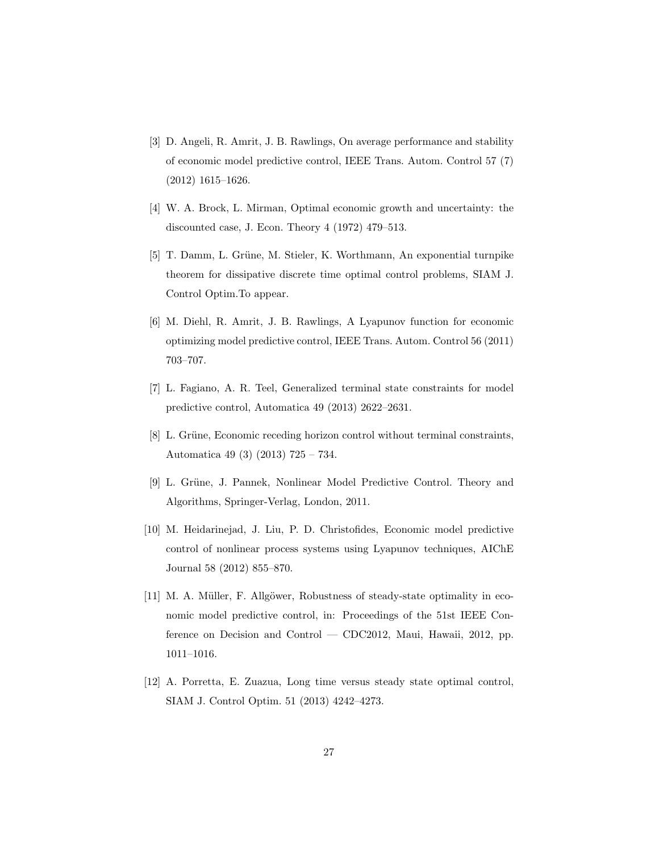- <span id="page-26-0"></span>[3] D. Angeli, R. Amrit, J. B. Rawlings, On average performance and stability of economic model predictive control, IEEE Trans. Autom. Control 57 (7) (2012) 1615–1626.
- <span id="page-26-9"></span>[4] W. A. Brock, L. Mirman, Optimal economic growth and uncertainty: the discounted case, J. Econ. Theory 4 (1972) 479–513.
- <span id="page-26-5"></span>[5] T. Damm, L. Grüne, M. Stieler, K. Worthmann, An exponential turnpike theorem for dissipative discrete time optimal control problems, SIAM J. Control Optim.To appear.
- <span id="page-26-7"></span>[6] M. Diehl, R. Amrit, J. B. Rawlings, A Lyapunov function for economic optimizing model predictive control, IEEE Trans. Autom. Control 56 (2011) 703–707.
- <span id="page-26-1"></span>[7] L. Fagiano, A. R. Teel, Generalized terminal state constraints for model predictive control, Automatica 49 (2013) 2622–2631.
- <span id="page-26-4"></span>[8] L. Grüne, Economic receding horizon control without terminal constraints, Automatica 49 (3) (2013) 725 – 734.
- <span id="page-26-8"></span>[9] L. Gr¨une, J. Pannek, Nonlinear Model Predictive Control. Theory and Algorithms, Springer-Verlag, London, 2011.
- <span id="page-26-2"></span>[10] M. Heidarinejad, J. Liu, P. D. Christofides, Economic model predictive control of nonlinear process systems using Lyapunov techniques, AIChE Journal 58 (2012) 855–870.
- <span id="page-26-3"></span>[11] M. A. Müller, F. Allgöwer, Robustness of steady-state optimality in economic model predictive control, in: Proceedings of the 51st IEEE Conference on Decision and Control — CDC2012, Maui, Hawaii, 2012, pp. 1011–1016.
- <span id="page-26-6"></span>[12] A. Porretta, E. Zuazua, Long time versus steady state optimal control, SIAM J. Control Optim. 51 (2013) 4242–4273.